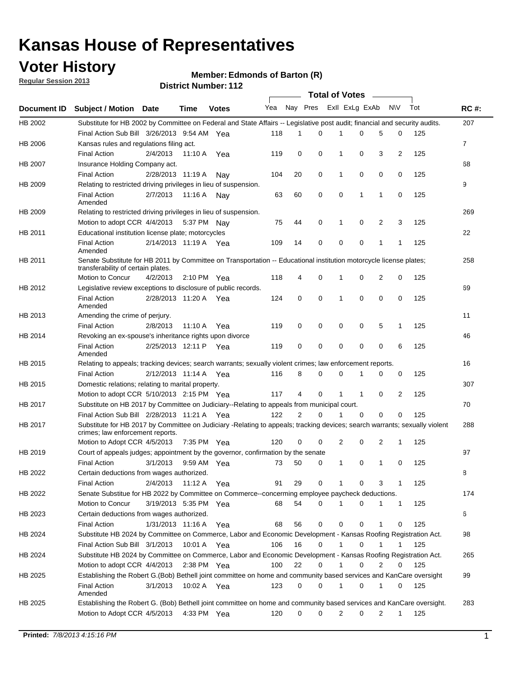### **Voter History**

**Member: Edmonds of Barton (R)** 

**Regular Session 2013**

|             |                                                                                                                                                                |                       |             |               |     |          |          | <b>Total of Votes</b> |              |              |                |     |             |
|-------------|----------------------------------------------------------------------------------------------------------------------------------------------------------------|-----------------------|-------------|---------------|-----|----------|----------|-----------------------|--------------|--------------|----------------|-----|-------------|
| Document ID | <b>Subject / Motion Date</b>                                                                                                                                   |                       | Time        | <b>Votes</b>  | Yea | Nay Pres |          | Exll ExLg ExAb        |              |              | N\V            | Tot | <b>RC#:</b> |
| HB 2002     | Substitute for HB 2002 by Committee on Federal and State Affairs -- Legislative post audit; financial and security audits.                                     |                       |             |               |     |          |          |                       |              |              |                |     | 207         |
|             | Final Action Sub Bill 3/26/2013 9:54 AM Yea                                                                                                                    |                       |             |               | 118 | 1        | 0        | 1                     | 0            | 5            | 0              | 125 |             |
| HB 2006     | Kansas rules and regulations filing act.                                                                                                                       |                       |             |               |     |          |          |                       |              |              |                |     | 7           |
|             | <b>Final Action</b>                                                                                                                                            | 2/4/2013              | 11:10 A     | Yea           | 119 | 0        | 0        | 1                     | 0            | 3            | $\overline{2}$ | 125 |             |
| HB 2007     | Insurance Holding Company act.                                                                                                                                 |                       |             |               |     |          |          |                       |              |              |                |     | 68          |
|             | <b>Final Action</b>                                                                                                                                            | 2/28/2013 11:19 A     |             | Nav           | 104 | 20       | 0        | 1                     | 0            | 0            | 0              | 125 |             |
| HB 2009     | Relating to restricted driving privileges in lieu of suspension.                                                                                               |                       |             |               |     |          |          |                       |              |              |                |     | 9           |
|             | <b>Final Action</b><br>Amended                                                                                                                                 | 2/7/2013              | 11:16 A     | Nav           | 63  | 60       | 0        | 0                     | 1            | 1            | 0              | 125 |             |
| HB 2009     | Relating to restricted driving privileges in lieu of suspension.                                                                                               |                       |             |               |     |          |          |                       |              |              |                |     | 269         |
|             | Motion to adopt CCR 4/4/2013                                                                                                                                   |                       |             | 5:37 PM Nav   | 75  | 44       | 0        | 1                     | 0            | 2            | 3              | 125 |             |
| HB 2011     | Educational institution license plate; motorcycles                                                                                                             |                       |             |               |     |          |          |                       |              |              |                |     | 22          |
|             | <b>Final Action</b><br>Amended                                                                                                                                 | 2/14/2013 11:19 A Yea |             |               | 109 | 14       | 0        | 0                     | 0            | $\mathbf{1}$ | 1              | 125 |             |
| HB 2011     | Senate Substitute for HB 2011 by Committee on Transportation -- Educational institution motorcycle license plates;<br>transferability of certain plates.       |                       |             |               |     |          |          |                       |              |              |                |     | 258         |
|             | Motion to Concur                                                                                                                                               | 4/2/2013              |             | 2:10 PM $Yea$ | 118 | 4        | 0        | 1                     | 0            | 2            | 0              | 125 |             |
| HB 2012     | Legislative review exceptions to disclosure of public records.                                                                                                 |                       |             |               |     |          |          |                       |              |              |                |     | 69          |
|             | <b>Final Action</b><br>Amended                                                                                                                                 | 2/28/2013 11:20 A Yea |             |               | 124 | 0        | 0        | 1                     | 0            | $\mathbf 0$  | 0              | 125 |             |
| HB 2013     | Amending the crime of perjury.                                                                                                                                 |                       |             |               |     |          |          |                       |              |              |                |     | 11          |
|             | <b>Final Action</b>                                                                                                                                            | 2/8/2013              | 11:10 A     | Yea           | 119 | 0        | 0        | 0                     | 0            | 5            | $\mathbf{1}$   | 125 |             |
| HB 2014     | Revoking an ex-spouse's inheritance rights upon divorce                                                                                                        |                       |             |               |     |          |          |                       |              |              |                |     | 46          |
|             | <b>Final Action</b><br>Amended                                                                                                                                 | 2/25/2013 12:11 P     |             | Yea           | 119 | 0        | 0        | 0                     | 0            | 0            | 6              | 125 |             |
| HB 2015     | Relating to appeals; tracking devices; search warrants; sexually violent crimes; law enforcement reports.                                                      |                       |             |               |     |          |          |                       |              |              |                |     | 16          |
|             | <b>Final Action</b>                                                                                                                                            | 2/12/2013 11:14 A Yea |             |               | 116 | 8        | 0        | 0                     | 1            | 0            | 0              | 125 |             |
| HB 2015     | Domestic relations; relating to marital property.                                                                                                              |                       |             |               |     |          |          |                       |              |              |                |     | 307         |
|             | Motion to adopt CCR 5/10/2013 2:15 PM Yea                                                                                                                      |                       |             |               | 117 | 4        | $\Omega$ | 1                     | $\mathbf{1}$ | 0            | 2              | 125 |             |
| HB 2017     | Substitute on HB 2017 by Committee on Judiciary--Relating to appeals from municipal court.                                                                     |                       |             |               |     |          |          |                       |              |              |                |     | 70          |
|             | Final Action Sub Bill 2/28/2013 11:21 A Yea                                                                                                                    |                       |             |               | 122 | 2        | 0        | 1                     | $\Omega$     | $\Omega$     | $\Omega$       | 125 |             |
| HB 2017     | Substitute for HB 2017 by Committee on Judiciary -Relating to appeals; tracking devices; search warrants; sexually violent<br>crimes; law enforcement reports. |                       |             |               |     |          |          |                       |              |              |                |     | 288         |
|             | Motion to Adopt CCR 4/5/2013                                                                                                                                   |                       |             | 7:35 PM Yea   | 120 | 0        | 0        | 2                     | 0            | 2            | $\mathbf{1}$   | 125 |             |
| HB 2019     | Court of appeals judges; appointment by the governor, confirmation by the senate                                                                               |                       |             |               |     |          |          |                       |              |              |                |     | 97          |
|             | <b>Final Action</b>                                                                                                                                            | 3/1/2013              |             | 9:59 AM Yea   | 73  | 50       | 0        | 1                     | 0            | 1            | 0              | 125 |             |
| HB 2022     | Certain deductions from wages authorized.                                                                                                                      |                       |             |               |     |          |          |                       |              |              |                |     | В           |
|             | <b>Final Action</b>                                                                                                                                            | 2/4/2013              |             | 11:12 A Yea   | 91  | 29       | 0        |                       | 0            | 3            | 1              | 125 |             |
| HB 2022     | Senate Substitue for HB 2022 by Committee on Commerce--concerming employee paycheck deductions.                                                                |                       |             |               |     |          |          |                       |              |              |                |     | 174         |
|             | Motion to Concur                                                                                                                                               | 3/19/2013 5:35 PM Yea |             |               | 68  | 54       | 0        | 1                     | 0            | 1            | $\mathbf{1}$   | 125 |             |
| HB 2023     | Certain deductions from wages authorized.                                                                                                                      |                       |             |               |     |          |          |                       |              |              |                |     | 6           |
|             | <b>Final Action</b>                                                                                                                                            | 1/31/2013 11:16 A Yea |             |               | 68  | 56       | 0        | 0                     | 0            | 1            | 0              | 125 |             |
| HB 2024     | Substitute HB 2024 by Committee on Commerce, Labor and Economic Development - Kansas Roofing Registration Act.                                                 |                       |             |               |     |          |          |                       |              |              |                |     | 98          |
|             | Final Action Sub Bill 3/1/2013                                                                                                                                 |                       | 10:01 A Yea |               | 106 | 16       | 0        |                       | 0            |              |                | 125 |             |
| HB 2024     | Substitute HB 2024 by Committee on Commerce, Labor and Economic Development - Kansas Roofing Registration Act.                                                 |                       |             |               |     |          |          |                       |              |              |                |     | 265         |
|             | Motion to adopt CCR 4/4/2013                                                                                                                                   |                       | 2:38 PM Yea |               | 100 | 22       | 0        |                       | 0            | 2            | 0              | 125 |             |
| HB 2025     | Establishing the Robert G.(Bob) Bethell joint committee on home and community based services and KanCare oversight                                             |                       |             |               |     |          |          |                       |              |              |                |     | 99          |
|             | Final Action<br>Amended                                                                                                                                        | 3/1/2013              |             | 10:02 A Yea   | 123 | 0        | 0        | 1                     | 0            | 1            | 0              | 125 |             |
| HB 2025     | Establishing the Robert G. (Bob) Bethell joint committee on home and community based services and KanCare oversight.                                           |                       |             |               |     |          |          |                       |              |              |                |     | 283         |
|             | Motion to Adopt CCR 4/5/2013                                                                                                                                   |                       |             | 4:33 PM Yea   | 120 | 0        | 0        | 2                     | 0            | 2            | $\mathbf{1}$   | 125 |             |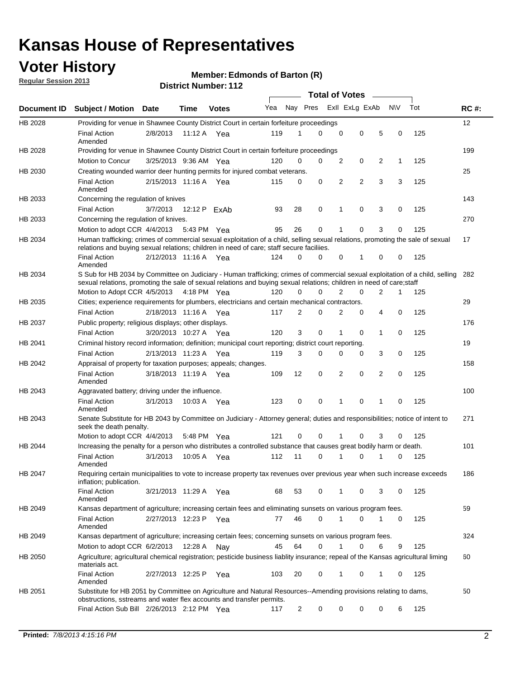### **Voter History**

**Regular Session 2013**

#### **Member: Edmonds of Barton (R)**

|                    |                                                                                                                                                                                                                                                        |                       |               |              |     |             | <b>Total of Votes</b> |                |                |   |           |     |             |
|--------------------|--------------------------------------------------------------------------------------------------------------------------------------------------------------------------------------------------------------------------------------------------------|-----------------------|---------------|--------------|-----|-------------|-----------------------|----------------|----------------|---|-----------|-----|-------------|
| <b>Document ID</b> | <b>Subject / Motion Date</b>                                                                                                                                                                                                                           |                       | Time          | <b>Votes</b> | Yea | Nay Pres    |                       |                | Exll ExLg ExAb |   | <b>NV</b> | Tot | <b>RC#:</b> |
| HB 2028            | Providing for venue in Shawnee County District Court in certain forfeiture proceedings                                                                                                                                                                 |                       |               |              |     |             |                       |                |                |   |           |     | 12          |
|                    | <b>Final Action</b><br>Amended                                                                                                                                                                                                                         | 2/8/2013              | 11:12 A $Yea$ |              | 119 | 1           | $\Omega$              | $\mathbf 0$    | 0              | 5 | 0         | 125 |             |
| HB 2028            | Providing for venue in Shawnee County District Court in certain forfeiture proceedings<br>Motion to Concur                                                                                                                                             |                       |               |              |     | 0           | 0                     |                |                |   |           |     | 199         |
|                    |                                                                                                                                                                                                                                                        | 3/25/2013 9:36 AM Yea |               |              | 120 |             |                       | 2              | 0              | 2 | 1         | 125 |             |
| HB 2030            | Creating wounded warrior deer hunting permits for injured combat veterans.<br><b>Final Action</b>                                                                                                                                                      | 2/15/2013 11:16 A     |               | Yea          | 115 | 0           | 0                     | 2              | 2              | 3 | 3         | 125 | 25          |
| HB 2033            | Amended<br>Concerning the regulation of knives                                                                                                                                                                                                         |                       |               |              |     |             |                       |                |                |   |           |     | 143         |
|                    | <b>Final Action</b>                                                                                                                                                                                                                                    | 3/7/2013              | 12:12 P       | ExAb         | 93  | 28          | 0                     | 1              | 0              | 3 | 0         | 125 |             |
| HB 2033            | Concerning the regulation of knives.                                                                                                                                                                                                                   |                       |               |              |     |             |                       |                |                |   |           |     | 270         |
|                    | Motion to adopt CCR 4/4/2013                                                                                                                                                                                                                           |                       | 5:43 PM Yea   |              | 95  | 26          | 0                     |                | 0              | 3 | 0         | 125 |             |
| HB 2034            | Human trafficking; crimes of commercial sexual exploitation of a child, selling sexual relations, promoting the sale of sexual                                                                                                                         |                       |               |              |     |             |                       |                |                |   |           |     | 17          |
|                    | relations and buying sexual relations; children in need of care; staff secure faciliies.<br><b>Final Action</b>                                                                                                                                        | 2/12/2013 11:16 A Yea |               |              | 124 | $\Omega$    | 0                     | 0              | 1              | 0 | 0         | 125 |             |
|                    | Amended                                                                                                                                                                                                                                                |                       |               |              |     |             |                       |                |                |   |           |     |             |
| HB 2034            | S Sub for HB 2034 by Committee on Judiciary - Human trafficking; crimes of commercial sexual exploitation of a child, selling<br>sexual relations, promoting the sale of sexual relations and buying sexual relations; children in need of care; staff |                       |               |              |     |             |                       |                |                |   |           |     | 282         |
|                    | Motion to Adopt CCR 4/5/2013 4:18 PM Yea                                                                                                                                                                                                               |                       |               |              | 120 | $\Omega$    | 0                     | 2              | 0              | 2 | 1         | 125 |             |
| HB 2035            | Cities; experience requirements for plumbers, electricians and certain mechanical contractors.                                                                                                                                                         |                       |               |              |     |             |                       |                |                |   |           |     | 29          |
|                    | <b>Final Action</b>                                                                                                                                                                                                                                    | 2/18/2013 11:16 A     |               | Yea          | 117 | 2           | 0                     | 2              | 0              | 4 | 0         | 125 |             |
| HB 2037            | Public property; religious displays; other displays.                                                                                                                                                                                                   |                       |               |              |     |             |                       |                |                |   |           |     | 176         |
|                    | <b>Final Action</b>                                                                                                                                                                                                                                    | 3/20/2013 10:27 A     |               | Yea          | 120 | 3           | 0                     | 1              | 0              | 1 | 0         | 125 |             |
| HB 2041            | Criminal history record information; definition; municipal court reporting; district court reporting.                                                                                                                                                  |                       |               |              |     |             |                       |                |                |   |           |     | 19          |
|                    | <b>Final Action</b>                                                                                                                                                                                                                                    | 2/13/2013 11:23 A     |               | Yea          | 119 | 3           | 0                     | 0              | 0              | 3 | 0         | 125 |             |
| HB 2042            | Appraisal of property for taxation purposes; appeals; changes.                                                                                                                                                                                         |                       |               |              |     |             |                       |                |                |   |           |     | 158         |
|                    | <b>Final Action</b><br>Amended                                                                                                                                                                                                                         | 3/18/2013 11:19 A     |               | Yea          | 109 | 12          | 0                     | $\overline{2}$ | 0              | 2 | 0         | 125 |             |
| HB 2043            | Aggravated battery; driving under the influence.                                                                                                                                                                                                       |                       |               |              |     |             |                       |                |                |   |           |     | 100         |
|                    | <b>Final Action</b><br>Amended                                                                                                                                                                                                                         | 3/1/2013              | 10:03 A Yea   |              | 123 | $\mathbf 0$ | 0                     | 1              | 0              |   | 0         | 125 |             |
| HB 2043            | Senate Substitute for HB 2043 by Committee on Judiciary - Attorney general; duties and responsibilities; notice of intent to<br>seek the death penalty.                                                                                                |                       |               |              |     |             |                       |                |                |   |           |     | 271         |
|                    | Motion to adopt CCR 4/4/2013                                                                                                                                                                                                                           |                       | 5:48 PM Yea   |              | 121 | 0           | 0                     |                | 0              | 3 | 0         | 125 |             |
| HB 2044            | Increasing the penalty for a person who distributes a controlled substance that causes great bodily harm or death.                                                                                                                                     |                       |               |              |     |             |                       |                |                |   |           |     | 101         |
|                    | <b>Final Action</b><br>Amended                                                                                                                                                                                                                         | 3/1/2013              | 10:05 A       | Yea          | 112 | 11          | 0                     |                | 0              |   | 0         | 125 |             |
| HB 2047            | Requiring certain municipalities to vote to increase property tax revenues over previous year when such increase exceeds<br>inflation; publication.                                                                                                    |                       |               |              |     |             |                       |                |                |   |           |     | 186         |
|                    | <b>Final Action</b><br>Amended                                                                                                                                                                                                                         | 3/21/2013 11:29 A Yea |               |              | 68  | 53          | 0                     |                | 0              | 3 | 0         | 125 |             |
| HB 2049            | Kansas department of agriculture; increasing certain fees and eliminating sunsets on various program fees.                                                                                                                                             |                       |               |              |     |             |                       |                |                |   |           |     | 59          |
|                    | <b>Final Action</b><br>Amended                                                                                                                                                                                                                         | 2/27/2013 12:23 P Yea |               |              | 77  | 46          | 0                     | 1              | 0              | 1 | 0         | 125 |             |
| HB 2049            | Kansas department of agriculture; increasing certain fees; concerning sunsets on various program fees.                                                                                                                                                 |                       |               |              |     |             |                       |                |                |   |           |     | 324         |
|                    | Motion to adopt CCR 6/2/2013                                                                                                                                                                                                                           |                       | 12:28 A       | Nav          | 45  | 64          | 0                     | 1              | 0              | 6 | 9         | 125 |             |
| HB 2050            | Agriculture; agricultural chemical registration; pesticide business liablity insurance; repeal of the Kansas agricultural liming<br>materials act.                                                                                                     |                       |               |              |     |             |                       |                |                |   |           |     | 60          |
|                    | <b>Final Action</b><br>Amended                                                                                                                                                                                                                         | 2/27/2013 12:25 P     |               | Yea          | 103 | 20          | 0                     | 1              | 0              | 1 | 0         | 125 |             |
| HB 2051            | Substitute for HB 2051 by Committee on Agriculture and Natural Resources--Amending provisions relating to dams,<br>obstructions, sstreams and water flex accounts and transfer permits.                                                                |                       |               |              |     |             |                       |                |                |   |           |     | 50          |
|                    | Final Action Sub Bill 2/26/2013 2:12 PM Yea                                                                                                                                                                                                            |                       |               |              | 117 | 2           | 0                     | 0              | 0              | 0 | 6         | 125 |             |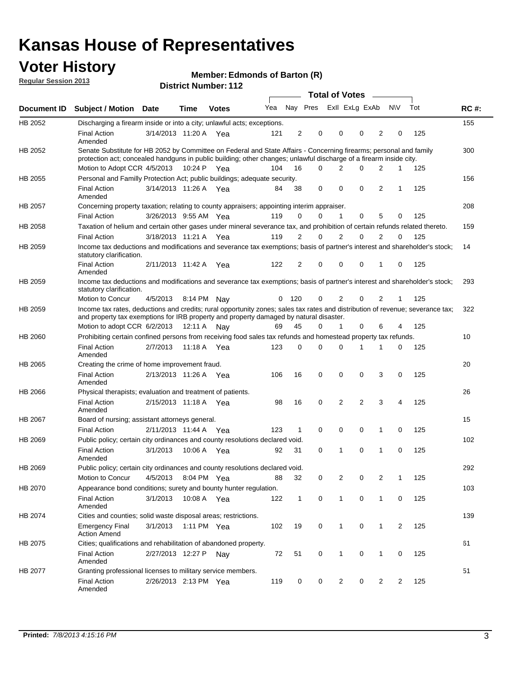### **Voter History**

**Member: Edmonds of Barton (R)** 

**Regular Session 2013**

|             |                                                                                                                                                                                                                                          |                       |         |              |     |              |             |                | <b>Total of Votes</b>   |                |                |     |             |
|-------------|------------------------------------------------------------------------------------------------------------------------------------------------------------------------------------------------------------------------------------------|-----------------------|---------|--------------|-----|--------------|-------------|----------------|-------------------------|----------------|----------------|-----|-------------|
| Document ID | <b>Subject / Motion Date</b>                                                                                                                                                                                                             |                       | Time    | <b>Votes</b> | Yea |              |             |                | Nay Pres Exll ExLg ExAb |                | <b>NV</b>      | Tot | <b>RC#:</b> |
| HB 2052     | Discharging a firearm inside or into a city; unlawful acts; exceptions.                                                                                                                                                                  |                       |         |              |     |              |             |                |                         |                |                |     | 155         |
|             | <b>Final Action</b><br>Amended                                                                                                                                                                                                           | 3/14/2013 11:20 A     |         | Yea          | 121 | 2            | 0           | $\mathbf 0$    | 0                       | 2              | 0              | 125 |             |
| HB 2052     | Senate Substitute for HB 2052 by Committee on Federal and State Affairs - Concerning firearms; personal and family<br>protection act; concealed handguns in public building; other changes; unlawful discharge of a firearm inside city. |                       |         |              |     |              |             |                |                         |                |                |     | 300         |
|             | Motion to Adopt CCR 4/5/2013 10:24 P Yea                                                                                                                                                                                                 |                       |         |              | 104 | 16           | 0           | 2              | 0                       | 2              | $\mathbf 1$    | 125 |             |
| HB 2055     | Personal and Familly Protection Act; public buildings; adequate security.                                                                                                                                                                |                       |         |              |     |              |             |                |                         |                |                |     | 156         |
|             | <b>Final Action</b><br>Amended                                                                                                                                                                                                           | 3/14/2013 11:26 A Yea |         |              | 84  | 38           | 0           | $\Omega$       | $\Omega$                | 2              | $\mathbf{1}$   | 125 |             |
| HB 2057     | Concerning property taxation; relating to county appraisers; appointing interim appraiser.                                                                                                                                               |                       |         |              |     |              |             |                |                         |                |                |     | 208         |
|             | <b>Final Action</b>                                                                                                                                                                                                                      | 3/26/2013 9:55 AM Yea |         |              | 119 | 0            | 0           | $\mathbf{1}$   | 0                       | 5              | 0              | 125 |             |
| HB 2058     | Taxation of helium and certain other gases under mineral severance tax, and prohibition of certain refunds related thereto.                                                                                                              |                       |         |              |     |              |             |                |                         |                |                |     | 159         |
|             | <b>Final Action</b>                                                                                                                                                                                                                      | 3/18/2013 11:21 A Yea |         |              | 119 | 2            | 0           | 2              | 0                       | $\overline{2}$ | 0              | 125 |             |
| HB 2059     | Income tax deductions and modifications and severance tax exemptions; basis of partner's interest and shareholder's stock;<br>statutory clarification.                                                                                   |                       |         |              |     |              |             |                |                         |                |                |     | 14          |
|             | <b>Final Action</b><br>Amended                                                                                                                                                                                                           | 2/11/2013 11:42 A     |         | Yea          | 122 | 2            | 0           | $\mathbf 0$    | 0                       | 1              | 0              | 125 |             |
| HB 2059     | Income tax deductions and modifications and severance tax exemptions; basis of partner's interest and shareholder's stock;<br>statutory clarification.                                                                                   |                       |         |              |     |              |             |                |                         |                |                |     | 293         |
|             | <b>Motion to Concur</b>                                                                                                                                                                                                                  | 4/5/2013              |         | 8:14 PM Nav  | 0   | 120          | 0           | 2              | 0                       | 2              | 1              | 125 |             |
| HB 2059     | Income tax rates, deductions and credits; rural opportunity zones; sales tax rates and distribution of revenue; severance tax;<br>and property tax exemptions for IRB property and property damaged by natural disaster.                 |                       |         |              |     |              |             |                |                         |                |                |     | 322         |
|             | Motion to adopt CCR 6/2/2013                                                                                                                                                                                                             |                       | 12:11 A | Nav          | 69  | 45           | 0           | 1              | 0                       | 6              | 4              | 125 |             |
| HB 2060     | Prohibiting certain confined persons from receiving food sales tax refunds and homestead property tax refunds.                                                                                                                           |                       |         |              |     |              |             |                |                         |                |                |     | 10          |
|             | <b>Final Action</b><br>Amended                                                                                                                                                                                                           | 2/7/2013              | 11:18 A | Yea          | 123 | 0            | 0           | $\Omega$       | 1                       | 1              | 0              | 125 |             |
| HB 2065     | Creating the crime of home improvement fraud.                                                                                                                                                                                            |                       |         |              |     |              |             |                |                         |                |                |     | 20          |
|             | <b>Final Action</b><br>Amended                                                                                                                                                                                                           | 2/13/2013 11:26 A Yea |         |              | 106 | 16           | 0           | $\mathbf 0$    | 0                       | 3              | 0              | 125 |             |
| HB 2066     | Physical therapists; evaluation and treatment of patients.                                                                                                                                                                               |                       |         |              |     |              |             |                |                         |                |                |     | 26          |
|             | <b>Final Action</b><br>Amended                                                                                                                                                                                                           | 2/15/2013 11:18 A Yea |         |              | 98  | 16           | 0           | 2              | $\overline{2}$          | 3              | 4              | 125 |             |
| HB 2067     | Board of nursing; assistant attorneys general.                                                                                                                                                                                           |                       |         |              |     |              |             |                |                         |                |                |     | 15          |
|             | <b>Final Action</b>                                                                                                                                                                                                                      | 2/11/2013 11:44 A Yea |         |              | 123 | 1            | 0           | $\mathbf 0$    | 0                       | 1              | 0              | 125 |             |
| HB 2069     | Public policy; certain city ordinances and county resolutions declared void.                                                                                                                                                             |                       |         |              |     |              |             |                |                         |                |                |     | 102         |
|             | <b>Final Action</b><br>Amended                                                                                                                                                                                                           | 3/1/2013              | 10:06 A | Yea          | 92  | 31           | 0           | 1              | 0                       | 1              | 0              | 125 |             |
| HB 2069     | Public policy; certain city ordinances and county resolutions declared void.                                                                                                                                                             |                       |         |              |     |              |             |                |                         |                |                |     | 292         |
|             | Motion to Concur                                                                                                                                                                                                                         | 4/5/2013              |         | 8:04 PM Yea  | 88  | 32           | 0           | 2              | 0                       | 2              | 1              | 125 |             |
| HB 2070     | Appearance bond conditions; surety and bounty hunter regulation.                                                                                                                                                                         |                       |         |              |     |              |             |                |                         |                |                |     | 103         |
|             | <b>Final Action</b><br>Amended                                                                                                                                                                                                           | 3/1/2013              |         | 10:08 A Yea  | 122 | $\mathbf{1}$ | $\mathbf 0$ | $\mathbf{1}$   | 0                       | 1              | 0              | 125 |             |
| HB 2074     | Cities and counties; solid waste disposal areas; restrictions.                                                                                                                                                                           |                       |         |              |     |              |             |                |                         |                |                |     | 139         |
|             | <b>Emergency Final</b><br><b>Action Amend</b>                                                                                                                                                                                            | 3/1/2013              |         | 1:11 PM Yea  | 102 | 19           | 0           | $\mathbf{1}$   | 0                       | 1              | $\overline{2}$ | 125 |             |
| HB 2075     | Cities; qualifications and rehabilitation of abandoned property.                                                                                                                                                                         |                       |         |              |     |              |             |                |                         |                |                |     | 61          |
|             | <b>Final Action</b><br>Amended                                                                                                                                                                                                           | 2/27/2013 12:27 P     |         | Nay          | 72  | 51           | 0           | 1              | 0                       | 1              | 0              | 125 |             |
| HB 2077     | Granting professional licenses to military service members.<br><b>Final Action</b><br>Amended                                                                                                                                            | 2/26/2013 2:13 PM Yea |         |              | 119 | 0            | 0           | $\overline{2}$ | 0                       | $\overline{2}$ | $\overline{2}$ | 125 | 51          |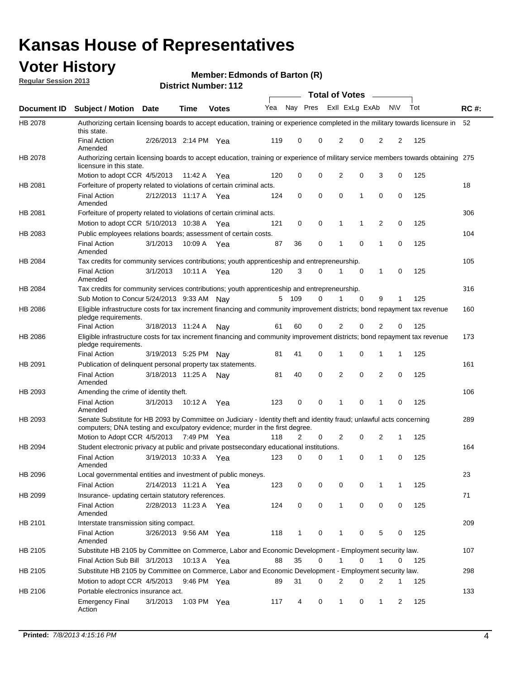### **Voter History**

**Member: Edmonds of Barton (R)** 

**Regular Session 2013**

|                    |                                                                                                                                                                                                       |                       |             | різитествиння і га |              |              |   | <b>Total of Votes</b> |             | $\sim$         |             |     |             |
|--------------------|-------------------------------------------------------------------------------------------------------------------------------------------------------------------------------------------------------|-----------------------|-------------|--------------------|--------------|--------------|---|-----------------------|-------------|----------------|-------------|-----|-------------|
| <b>Document ID</b> | <b>Subject / Motion Date</b>                                                                                                                                                                          |                       | <b>Time</b> | <b>Votes</b>       | Yea Nay Pres |              |   | Exll ExLg ExAb        |             |                | <b>NV</b>   | Tot | <b>RC#:</b> |
| HB 2078            | Authorizing certain licensing boards to accept education, training or experience completed in the military towards licensure in<br>this state.                                                        |                       |             |                    |              |              |   |                       |             |                |             |     | 52          |
|                    | <b>Final Action</b><br>Amended                                                                                                                                                                        | 2/26/2013 2:14 PM Yea |             |                    | 119          | 0            | 0 | 2                     | 0           | 2              | 2           | 125 |             |
| HB 2078            | Authorizing certain licensing boards to accept education, training or experience of military service members towards obtaining 275<br>licensure in this state.                                        |                       |             |                    |              |              |   |                       |             |                |             |     |             |
|                    | Motion to adopt CCR 4/5/2013                                                                                                                                                                          |                       | 11:42 A     | Yea                | 120          | 0            | 0 | $\overline{2}$        | 0           | 3              | 0           | 125 |             |
| HB 2081            | Forfeiture of property related to violations of certain criminal acts.                                                                                                                                |                       |             |                    |              |              |   |                       |             |                |             |     | 18          |
|                    | <b>Final Action</b><br>Amended                                                                                                                                                                        | 2/12/2013 11:17 A Yea |             |                    | 124          | 0            | 0 | $\Omega$              | 1           | 0              | 0           | 125 |             |
| HB 2081            | Forfeiture of property related to violations of certain criminal acts.                                                                                                                                |                       |             |                    |              |              |   |                       |             |                |             |     | 306         |
|                    | Motion to adopt CCR 5/10/2013 10:38 A                                                                                                                                                                 |                       |             | Yea                | 121          | 0            | 0 | 1                     | 1           | 2              | 0           | 125 |             |
| HB 2083            | Public employees relations boards; assessment of certain costs.                                                                                                                                       |                       |             |                    |              |              |   |                       |             |                |             |     | 104         |
|                    | <b>Final Action</b><br>Amended                                                                                                                                                                        | 3/1/2013              | 10:09 A     | Yea                | 87           | 36           | 0 | 1                     | $\mathbf 0$ | 1              | $\mathbf 0$ | 125 |             |
| HB 2084            | Tax credits for community services contributions; youth apprenticeship and entrepreneurship.                                                                                                          |                       |             |                    |              |              |   |                       |             |                |             |     | 105         |
|                    | <b>Final Action</b><br>Amended                                                                                                                                                                        | 3/1/2013              | 10:11 A     | Yea                | 120          | 3            | 0 | 1                     | $\mathbf 0$ | 1              | 0           | 125 |             |
| HB 2084            | Tax credits for community services contributions; youth apprenticeship and entrepreneurship.                                                                                                          |                       |             |                    |              |              |   |                       |             |                |             |     | 316         |
|                    | Sub Motion to Concur 5/24/2013 9:33 AM Nav                                                                                                                                                            |                       |             |                    | 5            | - 109        | 0 |                       | $\Omega$    | 9              | 1           | 125 |             |
| HB 2086            | Eligible infrastructure costs for tax increment financing and community improvement districts; bond repayment tax revenue<br>pledge requirements.                                                     |                       |             |                    |              |              |   |                       |             |                |             |     | 160         |
|                    | <b>Final Action</b>                                                                                                                                                                                   | 3/18/2013 11:24 A     |             | Nav                | 61           | 60           | 0 | 2                     | 0           | $\overline{2}$ | 0           | 125 |             |
| HB 2086            | Eligible infrastructure costs for tax increment financing and community improvement districts; bond repayment tax revenue<br>pledge requirements.                                                     |                       |             |                    |              |              |   |                       |             |                |             |     | 173         |
|                    | <b>Final Action</b>                                                                                                                                                                                   | 3/19/2013 5:25 PM     |             | Nav                | 81           | 41           | 0 | 1                     | 0           | 1              | 1           | 125 |             |
| HB 2091            | Publication of delinquent personal property tax statements.                                                                                                                                           |                       |             |                    |              |              |   |                       |             |                |             |     | 161         |
|                    | <b>Final Action</b><br>Amended                                                                                                                                                                        | 3/18/2013 11:25 A     |             | Nav                | 81           | 40           | 0 | 2                     | 0           | $\overline{2}$ | 0           | 125 |             |
| HB 2093            | Amending the crime of identity theft.                                                                                                                                                                 |                       |             |                    |              |              |   |                       |             |                |             |     | 106         |
|                    | <b>Final Action</b><br>Amended                                                                                                                                                                        | 3/1/2013              | 10:12 A     | Yea                | 123          | 0            | 0 | 1                     | $\Omega$    | 1              | 0           | 125 |             |
| HB 2093            | Senate Substitute for HB 2093 by Committee on Judiciary - Identity theft and identity fraud; unlawful acts concerning<br>computers; DNA testing and exculpatory evidence; murder in the first degree. |                       |             |                    |              |              |   |                       |             |                |             |     | 289         |
|                    | Motion to Adopt CCR 4/5/2013 7:49 PM Yea                                                                                                                                                              |                       |             |                    | 118          | 2            | 0 | 2                     | 0           | 2              | 1           | 125 |             |
| HB 2094            | Student electronic privacy at public and private postsecondary educational institutions.                                                                                                              |                       |             |                    |              |              |   |                       |             |                |             |     | 164         |
|                    | <b>Final Action</b><br>Amended                                                                                                                                                                        | 3/19/2013 10:33 A     |             | Yea                | 123          | 0            | 0 | 1                     | 0           | 1              | 0           | 125 |             |
| HB 2096            | Local governmental entities and investment of public moneys.                                                                                                                                          |                       |             |                    |              |              |   |                       |             |                |             |     | 23          |
|                    | <b>Final Action</b>                                                                                                                                                                                   | 2/14/2013 11:21 A     |             | Yea                | 123          | 0            | 0 | 0                     | 0           | 1              | 1           | 125 |             |
| HB 2099            | Insurance- updating certain statutory references.                                                                                                                                                     |                       |             |                    |              |              |   |                       |             |                |             |     | 71          |
|                    | <b>Final Action</b><br>Amended                                                                                                                                                                        | 2/28/2013 11:23 A     |             | Yea                | 124          | 0            | 0 | 1                     | 0           | 0              | 0           | 125 |             |
| HB 2101            | Interstate transmission siting compact.                                                                                                                                                               |                       |             |                    |              |              |   |                       |             |                |             |     | 209         |
|                    | <b>Final Action</b><br>Amended                                                                                                                                                                        | 3/26/2013 9:56 AM Yea |             |                    | 118          | $\mathbf{1}$ | 0 | 1                     | 0           | 5              | 0           | 125 |             |
| HB 2105            | Substitute HB 2105 by Committee on Commerce, Labor and Economic Development - Employment security law.                                                                                                |                       |             |                    |              |              |   |                       |             |                |             |     | 107         |
|                    | Final Action Sub Bill 3/1/2013                                                                                                                                                                        |                       | 10:13 A Yea |                    | 88           | 35           | 0 |                       | 0           | 1              | 0           | 125 |             |
| HB 2105            | Substitute HB 2105 by Committee on Commerce, Labor and Economic Development - Employment security law.                                                                                                |                       |             |                    |              |              |   |                       |             |                |             |     | 298         |
|                    | Motion to adopt CCR 4/5/2013                                                                                                                                                                          |                       | 9:46 PM Yea |                    | 89           | 31           | 0 | 2                     | 0           | 2              | 1           | 125 |             |
| HB 2106            | Portable electronics insurance act.                                                                                                                                                                   |                       |             |                    |              |              |   |                       |             |                |             |     | 133         |
|                    | <b>Emergency Final</b><br>Action                                                                                                                                                                      | 3/1/2013              |             | 1:03 PM $Yea$      | 117          | 4            | 0 | $\mathbf{1}$          | 0           | $\mathbf{1}$   | 2           | 125 |             |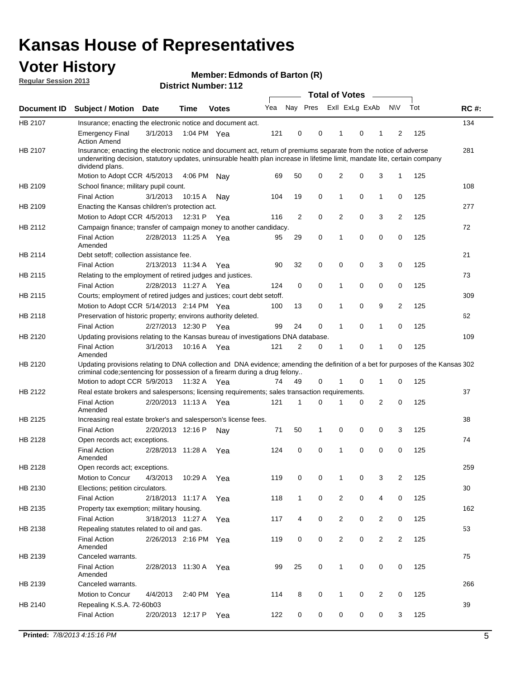### **Voter History**

**Member: Edmonds of Barton (R)** 

**Regular Session 2013**

|             |                                                                                                                                                                                                                                                                      |                       |             | דו הסמווטג ושמות <i>ב</i> וס |     |                |             | <b>Total of Votes</b> |   | $\overline{\phantom{a}}$ |                |     |             |
|-------------|----------------------------------------------------------------------------------------------------------------------------------------------------------------------------------------------------------------------------------------------------------------------|-----------------------|-------------|------------------------------|-----|----------------|-------------|-----------------------|---|--------------------------|----------------|-----|-------------|
| Document ID | <b>Subject / Motion Date</b>                                                                                                                                                                                                                                         |                       | <b>Time</b> | <b>Votes</b>                 | Yea | Nay Pres       |             | Exll ExLg ExAb        |   |                          | <b>NV</b>      | Tot | <b>RC#:</b> |
| HB 2107     | Insurance; enacting the electronic notice and document act.                                                                                                                                                                                                          |                       |             |                              |     |                |             |                       |   |                          |                |     | 134         |
|             | <b>Emergency Final</b><br><b>Action Amend</b>                                                                                                                                                                                                                        | 3/1/2013              | 1:04 PM Yea |                              | 121 | 0              | 0           | 1                     | 0 | 1                        | 2              | 125 |             |
| HB 2107     | Insurance; enacting the electronic notice and document act, return of premiums separate from the notice of adverse<br>underwriting decision, statutory updates, uninsurable health plan increase in lifetime limit, mandate lite, certain company<br>dividend plans. |                       |             |                              |     |                |             |                       |   |                          |                |     | 281         |
|             | Motion to Adopt CCR 4/5/2013                                                                                                                                                                                                                                         |                       | 4:06 PM     | Nav                          | 69  | 50             | 0           | 2                     | 0 | 3                        | $\mathbf{1}$   | 125 |             |
| HB 2109     | School finance; military pupil count.                                                                                                                                                                                                                                |                       |             |                              |     |                |             |                       |   |                          |                |     | 108         |
|             | <b>Final Action</b>                                                                                                                                                                                                                                                  | 3/1/2013              | 10:15A      | Nav                          | 104 | 19             | 0           | 1                     | 0 | $\mathbf{1}$             | 0              | 125 |             |
| HB 2109     | Enacting the Kansas children's protection act.                                                                                                                                                                                                                       |                       |             |                              |     |                |             |                       |   |                          |                |     | 277         |
|             | Motion to Adopt CCR 4/5/2013                                                                                                                                                                                                                                         |                       | 12:31 P     | Yea                          | 116 | $\overline{2}$ | 0           | 2                     | 0 | 3                        | $\overline{2}$ | 125 |             |
| HB 2112     | Campaign finance; transfer of campaign money to another candidacy.                                                                                                                                                                                                   |                       |             |                              |     |                |             |                       |   |                          |                |     | 72          |
|             | <b>Final Action</b><br>Amended                                                                                                                                                                                                                                       | 2/28/2013 11:25 A Yea |             |                              | 95  | 29             | 0           | 1                     | 0 | 0                        | 0              | 125 |             |
| HB 2114     | Debt setoff; collection assistance fee.                                                                                                                                                                                                                              |                       |             |                              |     |                |             |                       |   |                          |                |     | 21          |
|             | <b>Final Action</b>                                                                                                                                                                                                                                                  | 2/13/2013 11:34 A     |             | Yea                          | 90  | 32             | 0           | 0                     | 0 | 3                        | 0              | 125 |             |
| HB 2115     | Relating to the employment of retired judges and justices.                                                                                                                                                                                                           |                       |             |                              |     |                |             |                       |   |                          |                |     | 73          |
|             | <b>Final Action</b>                                                                                                                                                                                                                                                  | 2/28/2013 11:27 A     |             | Yea                          | 124 | 0              | $\mathbf 0$ | 1                     | 0 | 0                        | 0              | 125 |             |
| HB 2115     | Courts; employment of retired judges and justices; court debt setoff.                                                                                                                                                                                                |                       |             |                              |     |                |             |                       |   |                          |                |     | 309         |
|             | Motion to Adopt CCR 5/14/2013 2:14 PM Yea                                                                                                                                                                                                                            |                       |             |                              | 100 | 13             | 0           | 1                     | 0 | 9                        | $\overline{2}$ | 125 |             |
| HB 2118     | Preservation of historic property; environs authority deleted.                                                                                                                                                                                                       |                       |             |                              |     |                |             |                       |   |                          |                |     | 62          |
|             | <b>Final Action</b>                                                                                                                                                                                                                                                  | 2/27/2013 12:30 P     |             | Yea                          | 99  | 24             | 0           | 1                     | 0 | $\mathbf{1}$             | 0              | 125 |             |
| HB 2120     | Updating provisions relating to the Kansas bureau of investigations DNA database.                                                                                                                                                                                    |                       |             |                              |     |                |             |                       |   |                          |                |     | 109         |
|             | <b>Final Action</b><br>Amended                                                                                                                                                                                                                                       | 3/1/2013              | 10:16 A     | Yea                          | 121 | 2              | 0           | 1                     | 0 | 1                        | 0              | 125 |             |
| HB 2120     | Updating provisions relating to DNA collection and DNA evidence; amending the definition of a bet for purposes of the Kansas 302<br>criminal code; sentencing for possession of a firearm during a drug felony                                                       |                       |             |                              |     |                |             |                       |   |                          |                |     |             |
|             | Motion to adopt CCR 5/9/2013                                                                                                                                                                                                                                         |                       | 11:32 A Yea |                              | 74  | 49             | 0           |                       | 0 | 1                        | 0              | 125 |             |
| HB 2122     | Real estate brokers and salespersons; licensing requirements; sales transaction requirements.                                                                                                                                                                        |                       |             |                              |     |                |             |                       |   |                          |                |     | 37          |
|             | <b>Final Action</b><br>Amended                                                                                                                                                                                                                                       | 2/20/2013 11:13 A Yea |             |                              | 121 | 1              | $\Omega$    |                       | 0 | 2                        | 0              | 125 |             |
| HB 2125     | Increasing real estate broker's and salesperson's license fees.                                                                                                                                                                                                      |                       |             |                              |     |                |             |                       |   |                          |                |     | 38          |
|             | <b>Final Action</b>                                                                                                                                                                                                                                                  | 2/20/2013 12:16 P     |             | Nav                          | 71  | 50             | 1           | 0                     | 0 | 0                        | 3              | 125 |             |
| HB 2128     | Open records act; exceptions.                                                                                                                                                                                                                                        |                       |             |                              |     |                |             |                       |   |                          |                |     | 74          |
|             | <b>Final Action</b><br>Amended                                                                                                                                                                                                                                       | 2/28/2013 11:28 A     |             | Yea                          | 124 | 0              | 0           | 1                     | 0 | 0                        | 0              | 125 |             |
| HB 2128     | Open records act; exceptions.                                                                                                                                                                                                                                        |                       |             |                              |     |                |             |                       |   |                          |                |     | 259         |
|             | Motion to Concur                                                                                                                                                                                                                                                     | 4/3/2013              | 10:29 A     | Yea                          | 119 | 0              | 0           | 1                     | 0 | 3                        | $\overline{2}$ | 125 |             |
| HB 2130     | Elections; petition circulators.                                                                                                                                                                                                                                     |                       |             |                              |     |                |             |                       |   |                          |                |     | 30          |
|             | <b>Final Action</b>                                                                                                                                                                                                                                                  | 2/18/2013 11:17 A     |             | Yea                          | 118 | $\mathbf{1}$   | 0           | $\overline{c}$        | 0 | 4                        | 0              | 125 |             |
| HB 2135     | Property tax exemption; military housing.                                                                                                                                                                                                                            |                       |             |                              |     |                |             |                       |   |                          |                |     | 162         |
|             | <b>Final Action</b>                                                                                                                                                                                                                                                  | 3/18/2013 11:27 A     |             | Yea                          | 117 | 4              | 0           | $\overline{c}$        | 0 | $\overline{2}$           | 0              | 125 |             |
| HB 2138     | Repealing statutes related to oil and gas.                                                                                                                                                                                                                           |                       |             |                              |     |                |             |                       |   |                          |                |     | 53          |
|             | <b>Final Action</b><br>Amended                                                                                                                                                                                                                                       | 2/26/2013 2:16 PM Yea |             |                              | 119 | 0              | 0           | 2                     | 0 | $\overline{2}$           | $\overline{2}$ | 125 |             |
| HB 2139     | Canceled warrants.                                                                                                                                                                                                                                                   |                       |             |                              |     |                |             |                       |   |                          |                |     | 75          |
|             | <b>Final Action</b><br>Amended                                                                                                                                                                                                                                       | 2/28/2013 11:30 A     |             | Yea                          | 99  | 25             | 0           | 1                     | 0 | 0                        | 0              | 125 |             |
| HB 2139     | Canceled warrants.                                                                                                                                                                                                                                                   |                       |             |                              |     |                |             |                       |   |                          |                |     | 266         |
|             | Motion to Concur                                                                                                                                                                                                                                                     | 4/4/2013              | 2:40 PM     | Yea                          | 114 | 8              | 0           | 1                     | 0 | 2                        | 0              | 125 |             |
| HB 2140     | Repealing K.S.A. 72-60b03                                                                                                                                                                                                                                            |                       |             |                              |     |                |             |                       |   |                          |                |     | 39          |
|             | <b>Final Action</b>                                                                                                                                                                                                                                                  | 2/20/2013 12:17 P     |             | Yea                          | 122 | 0              | 0           | 0                     | 0 | 0                        | 3              | 125 |             |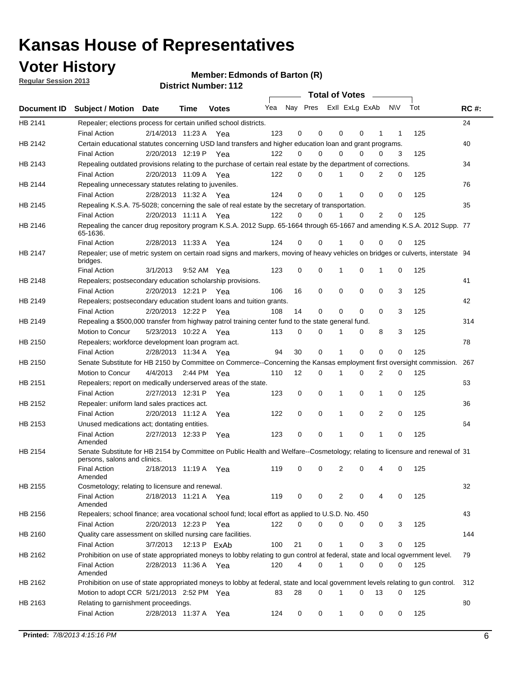### **Voter History**

**Member: Edmonds of Barton (R)** 

**Regular Session 2013**

|                    |                                                                                                                                              |          |                       |              |     |    | <b>Total of Votes</b>   |             |          | $\sim 100$  |     |     |             |
|--------------------|----------------------------------------------------------------------------------------------------------------------------------------------|----------|-----------------------|--------------|-----|----|-------------------------|-------------|----------|-------------|-----|-----|-------------|
| <b>Document ID</b> | <b>Subject / Motion Date</b>                                                                                                                 |          | Time                  | <b>Votes</b> | Yea |    | Nay Pres ExII ExLg ExAb |             |          |             | N\V | Tot | <b>RC#:</b> |
| HB 2141            | Repealer; elections process for certain unified school districts.                                                                            |          |                       |              |     |    |                         |             |          |             |     |     | 24          |
|                    | <b>Final Action</b>                                                                                                                          |          | 2/14/2013 11:23 A     | Yea          | 123 | 0  | 0                       | 0           | 0        | 1           | 1   | 125 |             |
| HB 2142            | Certain educational statutes concerning USD land transfers and higher education loan and grant programs.                                     |          |                       |              |     |    |                         |             |          |             |     |     | 40          |
|                    | <b>Final Action</b>                                                                                                                          |          | 2/20/2013 12:19 P Yea |              | 122 | 0  | 0                       | 0           | $\Omega$ | 0           | 3   | 125 |             |
| HB 2143            | Repealing outdated provisions relating to the purchase of certain real estate by the department of corrections.                              |          |                       |              |     |    |                         |             |          |             |     |     | 34          |
|                    | <b>Final Action</b>                                                                                                                          |          | 2/20/2013 11:09 A Yea |              | 122 | 0  | 0                       | 1           | 0        | 2           | 0   | 125 |             |
| HB 2144            | Repealing unnecessary statutes relating to juveniles.                                                                                        |          |                       |              |     |    |                         |             |          |             |     |     | 76          |
|                    | <b>Final Action</b>                                                                                                                          |          | 2/28/2013 11:32 A Yea |              | 124 | 0  | 0                       | 1           | 0        | 0           | 0   | 125 |             |
| HB 2145            | Repealing K.S.A. 75-5028; concerning the sale of real estate by the secretary of transportation.                                             |          |                       |              |     |    |                         |             |          |             |     |     | 35          |
|                    | <b>Final Action</b>                                                                                                                          |          | 2/20/2013 11:11 A Yea |              | 122 | 0  | 0                       | 1           | 0        | 2           | 0   | 125 |             |
| HB 2146            | Repealing the cancer drug repository program K.S.A. 2012 Supp. 65-1664 through 65-1667 and amending K.S.A. 2012 Supp. 77<br>65-1636.         |          |                       |              |     |    |                         |             |          |             |     |     |             |
|                    | <b>Final Action</b>                                                                                                                          |          | 2/28/2013 11:33 A     | Yea          | 124 | 0  | 0                       | 1           | $\Omega$ | 0           | 0   | 125 |             |
| HB 2147            | Repealer; use of metric system on certain road signs and markers, moving of heavy vehicles on bridges or culverts, interstate 94<br>bridges. |          |                       |              |     |    |                         |             |          |             |     |     |             |
|                    | <b>Final Action</b>                                                                                                                          | 3/1/2013 |                       | 9:52 AM Yea  | 123 | 0  | 0                       |             | 0        | 1           | 0   | 125 |             |
| HB 2148            | Repealers; postsecondary education scholarship provisions.                                                                                   |          |                       |              |     |    |                         |             |          |             |     |     | 41          |
|                    | <b>Final Action</b>                                                                                                                          |          | 2/20/2013 12:21 P     | Yea          | 106 | 16 | $\mathbf 0$             | 0           | 0        | $\mathbf 0$ | 3   | 125 |             |
| HB 2149            | Repealers; postsecondary education student loans and tuition grants.                                                                         |          |                       |              |     |    |                         |             |          |             |     |     | 42          |
|                    | <b>Final Action</b>                                                                                                                          |          | 2/20/2013 12:22 P     | Yea          | 108 | 14 | 0                       | 0           | $\Omega$ | $\Omega$    | 3   | 125 |             |
| HB 2149            | Repealing a \$500,000 transfer from highway patrol training center fund to the state general fund.                                           |          |                       |              |     |    |                         |             |          |             |     |     | 314         |
|                    | Motion to Concur                                                                                                                             |          | 5/23/2013 10:22 A Yea |              | 113 | 0  | 0                       |             | 0        | 8           | 3   | 125 |             |
| HB 2150            | Repealers; workforce development loan program act.                                                                                           |          |                       |              |     |    |                         |             |          |             |     |     | 78          |
|                    | <b>Final Action</b>                                                                                                                          |          | 2/28/2013 11:34 A Yea |              | 94  | 30 | $\mathbf 0$             | 1           | 0        | 0           | 0   | 125 |             |
| HB 2150            | Senate Substitute for HB 2150 by Committee on Commerce--Concerning the Kansas employment first oversight commission.                         |          |                       |              |     |    |                         |             |          |             |     |     | 267         |
|                    | Motion to Concur                                                                                                                             |          | 4/4/2013 2:44 PM Yea  |              | 110 | 12 | 0                       | 1           | 0        | 2           | 0   | 125 |             |
| HB 2151            | Repealers; report on medically underserved areas of the state.                                                                               |          |                       |              |     |    |                         |             |          |             |     |     | 63          |
|                    | <b>Final Action</b>                                                                                                                          |          | 2/27/2013 12:31 P     | Yea          | 123 | 0  | $\mathbf 0$             | 1           | 0        | 1           | 0   | 125 |             |
| HB 2152            | Repealer: uniform land sales practices act.                                                                                                  |          |                       |              |     |    |                         |             |          |             |     |     | 36          |
|                    | <b>Final Action</b>                                                                                                                          |          | 2/20/2013 11:12 A     | Yea          | 122 | 0  | $\mathbf 0$             | 1           | 0        | 2           | 0   | 125 |             |
| HB 2153            | Unused medications act; dontating entities.                                                                                                  |          |                       |              |     |    |                         |             |          |             |     |     | 64          |
|                    | <b>Final Action</b><br>Amended                                                                                                               |          | 2/27/2013 12:33 P     | Yea          | 123 | 0  | 0                       | 1           | 0        | 1           | 0   | 125 |             |
| HB 2154            | Senate Substitute for HB 2154 by Committee on Public Health and Welfare--Cosmetology; relating to licensure and renewal of 31                |          |                       |              |     |    |                         |             |          |             |     |     |             |
|                    | persons, salons and clinics.<br><b>Final Action</b><br>Amended                                                                               |          | 2/18/2013 11:19 A     | Yea          | 119 | 0  | 0                       | 2           | 0        | 4           | 0   | 125 |             |
| HB 2155            | Cosmetology; relating to licensure and renewal.                                                                                              |          |                       |              |     |    |                         |             |          |             |     |     | 32          |
|                    | <b>Final Action</b><br>Amended                                                                                                               |          | 2/18/2013 11:21 A Yea |              | 119 | 0  | 0                       | 2           | 0        |             | 0   | 125 |             |
| HB 2156            | Repealers; school finance; area vocational school fund; local effort as applied to U.S.D. No. 450                                            |          |                       |              |     |    |                         |             |          |             |     |     | 43          |
|                    | <b>Final Action</b>                                                                                                                          |          | 2/20/2013 12:23 P     | Yea          | 122 | 0  | 0                       | 0           | 0        | 0           | 3   | 125 |             |
| HB 2160            | Quality care assessment on skilled nursing care facilities.                                                                                  |          |                       |              |     |    |                         |             |          |             |     |     | 144         |
|                    | <b>Final Action</b>                                                                                                                          | 3/7/2013 |                       | 12:13 P ExAb | 100 | 21 | 0                       | 1           | 0        | 3           | 0   | 125 |             |
| HB 2162            | Prohibition on use of state appropriated moneys to lobby relating to gun control at federal, state and local ogvernment level.               |          |                       |              |     |    |                         |             |          |             |     |     | 79          |
|                    | <b>Final Action</b><br>Amended                                                                                                               |          | 2/28/2013 11:36 A Yea |              | 120 | 4  | 0                       | 1           | 0        | 0           | 0   | 125 |             |
| HB 2162            | Prohibition on use of state appropriated moneys to lobby at federal, state and local government levels relating to gun control.              |          |                       |              |     |    |                         |             |          |             |     |     | 312         |
|                    | Motion to adopt CCR 5/21/2013 2:52 PM Yea                                                                                                    |          |                       |              | 83  | 28 | 0                       |             | 0        | 13          | 0   | 125 |             |
| HB 2163            | Relating to garnishment proceedings.                                                                                                         |          |                       |              |     |    |                         |             |          |             |     |     | 80          |
|                    | <b>Final Action</b>                                                                                                                          |          | 2/28/2013 11:37 A Yea |              | 124 | 0  | 0                       | $\mathbf 1$ | 0        | 0           | 0   | 125 |             |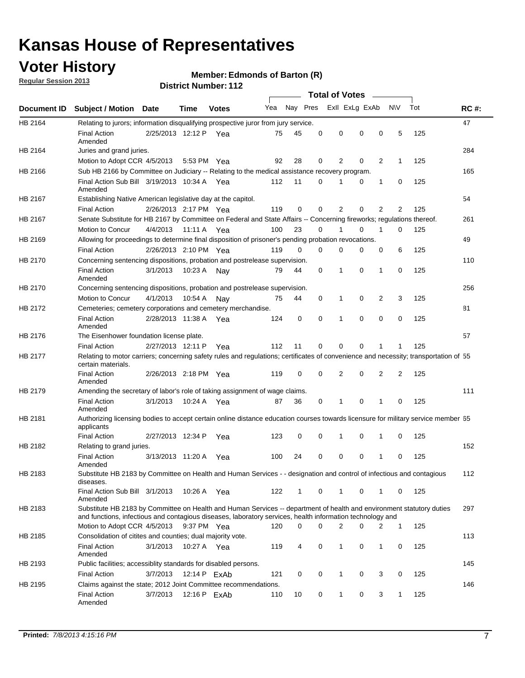### **Voter History**

**Regular Session 2013**

#### **Member: Edmonds of Barton (R)**

|                    |                                                                                                                                                                                                                                    |                       |             | різитествиння і га |              |              |          | <b>Total of Votes</b> |          | $\sim$ |                |     |             |
|--------------------|------------------------------------------------------------------------------------------------------------------------------------------------------------------------------------------------------------------------------------|-----------------------|-------------|--------------------|--------------|--------------|----------|-----------------------|----------|--------|----------------|-----|-------------|
| <b>Document ID</b> | <b>Subject / Motion Date</b>                                                                                                                                                                                                       |                       | Time        | <b>Votes</b>       | Yea Nay Pres |              |          | Exll ExLg ExAb        |          |        | <b>NV</b>      | Tot | <b>RC#:</b> |
| HB 2164            | Relating to jurors; information disqualifying prospective juror from jury service.                                                                                                                                                 |                       |             |                    |              |              |          |                       |          |        |                |     | 47          |
|                    | <b>Final Action</b><br>Amended                                                                                                                                                                                                     | 2/25/2013 12:12 P Yea |             |                    | 75           | 45           | 0        | 0                     | 0        | 0      | 5              | 125 |             |
| HB 2164            | Juries and grand juries.                                                                                                                                                                                                           |                       |             |                    |              |              |          |                       |          |        |                |     | 284         |
|                    | Motion to Adopt CCR 4/5/2013                                                                                                                                                                                                       |                       |             | 5:53 PM Yea        | 92           | 28           | 0        | 2                     | 0        | 2      | $\mathbf{1}$   | 125 |             |
| HB 2166            | Sub HB 2166 by Committee on Judiciary -- Relating to the medical assistance recovery program.                                                                                                                                      |                       |             |                    |              |              |          |                       |          |        |                |     | 165         |
|                    | Final Action Sub Bill 3/19/2013 10:34 A Yea<br>Amended                                                                                                                                                                             |                       |             |                    | 112          | 11           | 0        | 1                     | 0        | 1      | 0              | 125 |             |
| HB 2167            | Establishing Native American legislative day at the capitol.                                                                                                                                                                       |                       |             |                    |              |              |          |                       |          |        |                |     | 54          |
|                    | <b>Final Action</b>                                                                                                                                                                                                                | 2/26/2013 2:17 PM Yea |             |                    | 119          | 0            | 0        | 2                     | 0        | 2      | 2              | 125 |             |
| HB 2167            | Senate Substitute for HB 2167 by Committee on Federal and State Affairs -- Concerning fireworks; regulations thereof.                                                                                                              |                       |             |                    |              |              |          |                       |          |        |                |     | 261         |
|                    | Motion to Concur                                                                                                                                                                                                                   | 4/4/2013              | 11:11 A Yea |                    | 100          | 23           | 0        | 1                     | 0        | 1      | 0              | 125 |             |
| HB 2169            | Allowing for proceedings to determine final disposition of prisoner's pending probation revocations.                                                                                                                               |                       |             |                    |              |              |          |                       |          |        |                |     | 49          |
|                    | <b>Final Action</b>                                                                                                                                                                                                                | 2/26/2013 2:10 PM Yea |             |                    | 119          | 0            | 0        | 0                     | 0        | 0      | 6              | 125 |             |
| HB 2170            | Concerning sentencing dispositions, probation and postrelease supervision.                                                                                                                                                         |                       |             |                    |              |              |          |                       |          |        |                |     | 110         |
|                    | <b>Final Action</b><br>Amended                                                                                                                                                                                                     | 3/1/2013              | 10:23 A     | Nay                | 79           | 44           | 0        | 1                     | 0        | 1      | 0              | 125 |             |
| HB 2170            | Concerning sentencing dispositions, probation and postrelease supervision.                                                                                                                                                         |                       |             |                    |              |              |          |                       |          |        |                |     | 256         |
|                    | Motion to Concur                                                                                                                                                                                                                   | 4/1/2013              | 10:54 A     | Nay                | 75           | 44           | 0        | $\mathbf{1}$          | 0        | 2      | 3              | 125 |             |
| HB 2172            | Cemeteries; cemetery corporations and cemetery merchandise.                                                                                                                                                                        |                       |             |                    |              |              |          |                       |          |        |                |     | 81          |
|                    | <b>Final Action</b><br>Amended                                                                                                                                                                                                     | 2/28/2013 11:38 A Yea |             |                    | 124          | 0            | $\Omega$ | 1                     | $\Omega$ | 0      | 0              | 125 |             |
| HB 2176            | The Eisenhower foundation license plate.                                                                                                                                                                                           |                       |             |                    |              |              |          |                       |          |        |                |     | 57          |
|                    | <b>Final Action</b>                                                                                                                                                                                                                | 2/27/2013 12:11 P     |             | Yea                | 112          | 11           | 0        | 0                     | 0        |        | 1              | 125 |             |
| HB 2177            | Relating to motor carriers; concerning safety rules and regulations; certificates of convenience and necessity; transportation of 55<br>certain materials.                                                                         |                       |             |                    |              |              |          |                       |          |        |                |     |             |
|                    | <b>Final Action</b><br>Amended                                                                                                                                                                                                     | 2/26/2013 2:18 PM Yea |             |                    | 119          | 0            | 0        | 2                     | 0        | 2      | $\overline{2}$ | 125 |             |
| HB 2179            | Amending the secretary of labor's role of taking assignment of wage claims.                                                                                                                                                        |                       |             |                    |              |              |          |                       |          |        |                |     | 111         |
|                    | <b>Final Action</b><br>Amended                                                                                                                                                                                                     | 3/1/2013              | 10:24 A Yea |                    | 87           | 36           | 0        | 1                     | $\Omega$ |        | 0              | 125 |             |
| HB 2181            | Authorizing licensing bodies to accept certain online distance education courses towards licensure for military service member 55<br>applicants                                                                                    |                       |             |                    |              |              |          |                       |          |        |                |     |             |
|                    | <b>Final Action</b>                                                                                                                                                                                                                | 2/27/2013 12:34 P     |             | Yea                | 123          | 0            | 0        | 1                     | 0        | 1      | 0              | 125 |             |
| HB 2182            | Relating to grand juries.                                                                                                                                                                                                          |                       |             |                    |              |              |          |                       |          |        |                |     | 152         |
|                    | <b>Final Action</b><br>Amended                                                                                                                                                                                                     | 3/13/2013 11:20 A     |             | Yea                | 100          | 24           | 0        | 0                     | 0        | 1      | 0              | 125 |             |
| HB 2183            | Substitute HB 2183 by Committee on Health and Human Services - - designation and control of infectious and contagious<br>diseases.                                                                                                 |                       |             |                    |              |              |          |                       |          |        |                |     | 112         |
|                    | Final Action Sub Bill 3/1/2013<br>Amended                                                                                                                                                                                          |                       |             | 10:26 A Yea        | 122          | $\mathbf{1}$ | 0        | 1                     | 0        | 1      | 0              | 125 |             |
| HB 2183            | Substitute HB 2183 by Committee on Health and Human Services -- department of health and environment statutory duties<br>and functions, infectious and contagious diseases, laboratory services, health information technology and |                       |             |                    |              |              |          |                       |          |        |                |     | 297         |
|                    | Motion to Adopt CCR 4/5/2013                                                                                                                                                                                                       |                       |             | 9:37 PM Yea        | 120          | 0            | 0        | 2                     | 0        | 2      | $\mathbf{1}$   | 125 |             |
| HB 2185            | Consolidation of citites and counties; dual majority vote.                                                                                                                                                                         |                       |             |                    |              |              |          |                       |          |        |                |     | 113         |
|                    | <b>Final Action</b><br>Amended                                                                                                                                                                                                     | 3/1/2013              |             | 10:27 A Yea        | 119          | 4            | 0        | 1                     | 0        | 1      | 0              | 125 |             |
| HB 2193            | Public facilities; accessiblity standards for disabled persons.                                                                                                                                                                    |                       |             |                    |              |              |          |                       |          |        |                |     | 145         |
|                    | <b>Final Action</b>                                                                                                                                                                                                                | 3/7/2013              |             | 12:14 P ExAb       | 121          | 0            | 0        | 1                     | 0        | 3      | 0              | 125 |             |
| HB 2195            | Claims against the state; 2012 Joint Committee recommendations.                                                                                                                                                                    |                       |             |                    |              |              |          |                       |          |        |                |     | 146         |
|                    | <b>Final Action</b><br>Amended                                                                                                                                                                                                     | 3/7/2013              |             | 12:16 P ExAb       | 110          | 10           | 0        | $\mathbf{1}$          | 0        | 3      | $\mathbf{1}$   | 125 |             |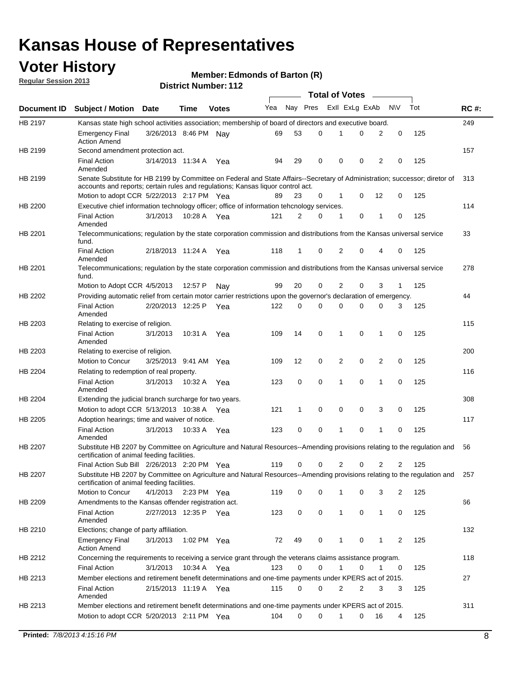### **Voter History**

**Member: Edmonds of Barton (R)** 

**Regular Session 2013**

|                |                                                                                                                                                                             |                       |             |              |     |          |          | <b>Total of Votes</b> |   |              |            |     |             |
|----------------|-----------------------------------------------------------------------------------------------------------------------------------------------------------------------------|-----------------------|-------------|--------------|-----|----------|----------|-----------------------|---|--------------|------------|-----|-------------|
| Document ID    | <b>Subject / Motion Date</b>                                                                                                                                                |                       | Time        | <b>Votes</b> | Yea | Nay Pres |          | Exll ExLg ExAb        |   |              | <b>N/A</b> | Tot | <b>RC#:</b> |
| HB 2197        | Kansas state high school activities association; membership of board of directors and executive board.                                                                      |                       |             |              |     |          |          |                       |   |              |            |     | 249         |
|                | Emergency Final<br><b>Action Amend</b>                                                                                                                                      | 3/26/2013 8:46 PM     |             | Nav          | 69  | 53       | 0        |                       | 0 | 2            | 0          | 125 |             |
| HB 2199        | Second amendment protection act.                                                                                                                                            |                       |             |              |     |          |          |                       |   |              |            |     | 157         |
|                | <b>Final Action</b><br>Amended                                                                                                                                              | 3/14/2013 11:34 A     |             | Yea          | 94  | 29       | 0        | 0                     | 0 | 2            | 0          | 125 |             |
| HB 2199        | Senate Substitute for HB 2199 by Committee on Federal and State Affairs--Secretary of Administration; successor; diretor of                                                 |                       |             |              |     |          |          |                       |   |              |            |     | 313         |
|                | accounts and reports; certain rules and regulations; Kansas liquor control act.                                                                                             |                       |             |              |     |          |          |                       |   |              |            |     |             |
|                | Motion to adopt CCR 5/22/2013 2:17 PM Yea                                                                                                                                   |                       |             |              | 89  | 23       | 0        | 1                     | 0 | 12           | 0          | 125 |             |
| HB 2200        | Executive chief information technology officer; office of information tehcnology services.                                                                                  |                       |             |              |     |          |          |                       |   |              |            |     | 114         |
|                | <b>Final Action</b><br>Amended                                                                                                                                              | 3/1/2013              | 10:28 A     | Yea          | 121 | 2        | 0        | 1                     | 0 | 1            | 0          | 125 |             |
| HB 2201        | Telecommunications; regulation by the state corporation commission and distributions from the Kansas universal service<br>fund.                                             |                       |             |              |     |          |          |                       |   |              |            |     | 33          |
|                | <b>Final Action</b><br>Amended                                                                                                                                              | 2/18/2013 11:24 A     |             | Yea          | 118 | 1        | 0        | 2                     | 0 | 4            | 0          | 125 |             |
| HB 2201        | Telecommunications; regulation by the state corporation commission and distributions from the Kansas universal service<br>fund.                                             |                       |             |              |     |          |          |                       |   |              |            |     | 278         |
|                | Motion to Adopt CCR 4/5/2013                                                                                                                                                |                       | 12:57 P     | Nav          | 99  | 20       | 0        | 2                     | 0 | 3            | 1          | 125 |             |
| HB 2202        | Providing automatic relief from certain motor carrier restrictions upon the governor's declaration of emergency.                                                            |                       |             |              |     |          |          |                       |   |              |            |     | 44          |
|                | <b>Final Action</b><br>Amended                                                                                                                                              | 2/20/2013 12:25 P     |             | Yea          | 122 | 0        | 0        | 0                     | 0 | 0            | 3          | 125 |             |
| HB 2203        | Relating to exercise of religion.                                                                                                                                           |                       |             |              |     |          |          |                       |   |              |            |     | 115         |
|                | <b>Final Action</b><br>Amended                                                                                                                                              | 3/1/2013              | 10:31 A     | Yea          | 109 | 14       | 0        | 1                     | 0 | 1            | 0          | 125 |             |
| HB 2203        | Relating to exercise of religion.                                                                                                                                           |                       |             |              |     |          |          |                       |   |              |            |     | 200         |
|                | Motion to Concur                                                                                                                                                            | 3/25/2013 9:41 AM     |             | Yea          | 109 | 12       | 0        | 2                     | 0 | 2            | 0          | 125 |             |
| HB 2204        | Relating to redemption of real property.                                                                                                                                    |                       |             |              |     |          |          |                       |   |              |            |     | 116         |
|                | <b>Final Action</b><br>Amended                                                                                                                                              | 3/1/2013              | 10:32 A     | Yea          | 123 | 0        | 0        | 1                     | 0 | 1            | 0          | 125 |             |
| HB 2204        | Extending the judicial branch surcharge for two years.                                                                                                                      |                       |             |              |     |          |          |                       |   |              |            |     | 308         |
|                | Motion to adopt CCR 5/13/2013 10:38 A                                                                                                                                       |                       |             | Yea          | 121 | 1        | 0        | 0                     | 0 | 3            | 0          | 125 |             |
| HB 2205        | Adoption hearings; time and waiver of notice.                                                                                                                               |                       |             |              |     |          |          |                       |   |              |            |     | 117         |
|                | <b>Final Action</b><br>Amended                                                                                                                                              | 3/1/2013              | 10:33 A Yea |              | 123 | 0        | 0        | 1                     | 0 | 1            | 0          | 125 |             |
| HB 2207        | Substitute HB 2207 by Committee on Agriculture and Natural Resources--Amending provisions relating to the regulation and<br>certification of animal feeding facilities.     |                       |             |              |     |          |          |                       |   |              |            |     | 56          |
|                | Final Action Sub Bill 2/26/2013 2:20 PM Yea                                                                                                                                 |                       |             |              | 119 | 0        | 0        | 2                     | 0 | 2            | 2          | 125 |             |
| <b>HB 2207</b> | Substitute HB 2207 by Committee on Agriculture and Natural Resources--Amending provisions relating to the regulation and 257<br>certification of animal feeding facilities. |                       |             |              |     |          |          |                       |   |              |            |     |             |
|                | Motion to Concur                                                                                                                                                            | 4/1/2013 2:23 PM Yea  |             |              | 119 | 0        | 0        | 1                     | 0 | 3            | 2          | 125 |             |
| HB 2209        | Amendments to the Kansas offender registration act.                                                                                                                         |                       |             |              |     |          |          |                       |   |              |            |     | 66          |
|                | Final Action<br>Amended                                                                                                                                                     | 2/27/2013 12:35 P Yea |             |              | 123 | 0        | 0        | $\mathbf{1}$          | 0 | $\mathbf{1}$ | 0          | 125 |             |
| HB 2210        | Elections; change of party affiliation.                                                                                                                                     |                       |             |              |     |          |          |                       |   |              |            |     | 132         |
|                | <b>Emergency Final</b><br><b>Action Amend</b>                                                                                                                               | 3/1/2013              | 1:02 PM Yea |              | 72  | 49       | 0        |                       | 0 | 1            | 2          | 125 |             |
| HB 2212        | Concerning the requirements to receiving a service grant through the veterans claims assistance program.                                                                    |                       |             |              |     |          |          |                       |   |              |            |     | 118         |
|                | Final Action                                                                                                                                                                | 3/1/2013              | 10:34 A Yea |              | 123 | 0        | 0        | $\mathbf{1}$          | 0 | 1            | 0          | 125 |             |
| HB 2213        | Member elections and retirement benefit determinations and one-time payments under KPERS act of 2015.                                                                       |                       |             |              |     |          |          |                       |   |              |            |     | 27          |
|                | <b>Final Action</b><br>Amended                                                                                                                                              | 2/15/2013 11:19 A Yea |             |              | 115 | 0        | 0        | 2                     | 2 | 3            | 3          | 125 |             |
| HB 2213        | Member elections and retirement benefit determinations and one-time payments under KPERS act of 2015.                                                                       |                       |             |              |     |          |          |                       |   |              |            |     | 311         |
|                | Motion to adopt CCR 5/20/2013 2:11 PM Yea                                                                                                                                   |                       |             |              | 104 | $\Omega$ | $\Omega$ | 1                     | 0 | 16           | 4          | 125 |             |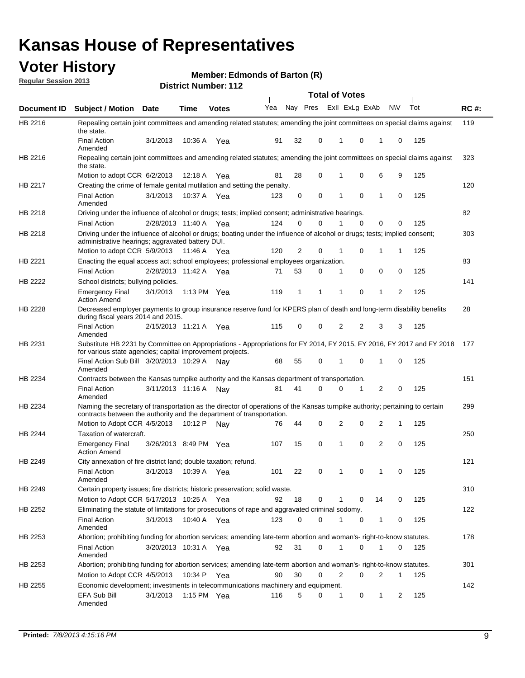### **Voter History**

**Member: Edmonds of Barton (R)** 

**Regular Session 2013**

|                |                                                                                                                                                                                                       |                       |             | ו הסטוווטנו ועווואסו |                             |              |          | <b>Total of Votes</b> |   | $\sim$         |              |     |             |
|----------------|-------------------------------------------------------------------------------------------------------------------------------------------------------------------------------------------------------|-----------------------|-------------|----------------------|-----------------------------|--------------|----------|-----------------------|---|----------------|--------------|-----|-------------|
| Document ID    | <b>Subject / Motion Date</b>                                                                                                                                                                          |                       | <b>Time</b> | <b>Votes</b>         | Yea Nay Pres ExII ExLg ExAb |              |          |                       |   |                | <b>NV</b>    | Tot | <b>RC#:</b> |
| HB 2216        | Repealing certain joint committees and amending related statutes; amending the joint committees on special claims against<br>the state.                                                               |                       |             |                      |                             |              |          |                       |   |                |              |     | 119         |
|                | <b>Final Action</b><br>Amended                                                                                                                                                                        | 3/1/2013              | 10:36 A     | Yea                  | 91                          | 32           | 0        | 1                     | 0 | 1              | 0            | 125 |             |
| HB 2216        | Repealing certain joint committees and amending related statutes; amending the joint committees on special claims against<br>the state.                                                               |                       |             |                      |                             |              |          |                       |   |                |              |     | 323         |
|                | Motion to adopt CCR 6/2/2013                                                                                                                                                                          |                       | 12:18 A     | Yea                  | 81                          | 28           | 0        | 1                     | 0 | 6              | 9            | 125 |             |
| HB 2217        | Creating the crime of female genital mutilation and setting the penalty.                                                                                                                              |                       |             |                      |                             |              |          |                       |   |                |              |     | 120         |
|                | <b>Final Action</b><br>Amended                                                                                                                                                                        | 3/1/2013              |             | 10:37 A Yea          | 123                         | 0            | 0        | 1                     | 0 | $\mathbf{1}$   | 0            | 125 |             |
| HB 2218        | Driving under the influence of alcohol or drugs; tests; implied consent; administrative hearings.                                                                                                     |                       |             |                      |                             |              |          |                       |   |                |              |     | 82          |
|                | <b>Final Action</b>                                                                                                                                                                                   | 2/28/2013 11:40 A     |             | Yea                  | 124                         | 0            | 0        | 1                     | 0 | 0              | 0            | 125 |             |
| HB 2218        | Driving under the influence of alcohol or drugs; boating under the influence of alcohol or drugs; tests; implied consent;<br>administrative hearings; aggravated battery DUI.                         |                       |             |                      |                             |              |          |                       |   |                |              |     | 303         |
|                | Motion to adopt CCR 5/9/2013                                                                                                                                                                          |                       | 11:46 A     | Yea                  | 120                         | 2            | 0        | 1                     | 0 | 1              | 1            | 125 |             |
| HB 2221        | Enacting the equal access act; school employees; professional employees organization.                                                                                                                 |                       |             |                      |                             |              |          |                       |   |                |              |     | 83          |
|                | <b>Final Action</b>                                                                                                                                                                                   | 2/28/2013 11:42 A     |             | Yea                  | 71                          | 53           | 0        | 1                     | 0 | 0              | 0            | 125 |             |
| HB 2222        | School districts; bullying policies.                                                                                                                                                                  |                       |             |                      |                             |              |          |                       |   |                |              |     | 141         |
|                | <b>Emergency Final</b><br><b>Action Amend</b>                                                                                                                                                         | 3/1/2013              |             | 1:13 PM $Yea$        | 119                         | $\mathbf{1}$ | 1        | 1                     | 0 | $\mathbf{1}$   | 2            | 125 |             |
| HB 2228        | Decreased employer payments to group insurance reserve fund for KPERS plan of death and long-term disability benefits<br>during fiscal years 2014 and 2015.                                           |                       |             |                      |                             |              |          |                       |   |                |              |     | 28          |
|                | <b>Final Action</b><br>Amended                                                                                                                                                                        | 2/15/2013 11:21 A Yea |             |                      | 115                         | 0            | 0        | 2                     | 2 | 3              | 3            | 125 |             |
| HB 2231        | Substitute HB 2231 by Committee on Appropriations - Appropriations for FY 2014, FY 2015, FY 2016, FY 2017 and FY 2018<br>for various state agencies; capital improvement projects.                    |                       |             |                      |                             |              |          |                       |   |                |              |     | 177         |
|                | Final Action Sub Bill 3/20/2013 10:29 A<br>Amended                                                                                                                                                    |                       |             | Nav                  | 68                          | 55           | 0        |                       | 0 | 1              | 0            | 125 |             |
| HB 2234        | Contracts between the Kansas turnpike authority and the Kansas department of transportation.                                                                                                          |                       |             |                      |                             |              |          |                       |   |                |              |     | 151         |
|                | <b>Final Action</b><br>Amended                                                                                                                                                                        | 3/11/2013 11:16 A     |             | Nav                  | 81                          | 41           | $\Omega$ | 0                     | 1 | $\overline{2}$ | 0            | 125 |             |
| HB 2234        | Naming the secretary of transportation as the director of operations of the Kansas turnpike authority; pertaining to certain<br>contracts between the authority and the department of transportation. |                       |             |                      |                             |              |          |                       |   |                |              |     | 299         |
|                | Motion to Adopt CCR 4/5/2013                                                                                                                                                                          |                       | 10:12 P     | Nav                  | 76                          | 44           | 0        | 2                     | 0 | 2              | 1            | 125 |             |
| <b>HB 2244</b> | Taxation of watercraft.<br><b>Emergency Final</b>                                                                                                                                                     | 3/26/2013 8:49 PM Yea |             |                      | 107                         | 15           | 0        | 1                     | 0 | 2              | 0            | 125 | 250         |
|                | <b>Action Amend</b>                                                                                                                                                                                   |                       |             |                      |                             |              |          |                       |   |                |              |     |             |
| HB 2249        | City annexation of fire district land; double taxation; refund.                                                                                                                                       |                       |             |                      |                             |              |          |                       |   |                |              |     | 121         |
|                | Final Action 3/1/2013 10:39 A Yea<br>Amended                                                                                                                                                          |                       |             |                      | 101                         | 22           | 0        | $\mathbf{1}$          | 0 | $\mathbf{1}$   | 0            | 125 |             |
| HB 2249        | Certain property issues; fire districts; historic preservation; solid waste.                                                                                                                          |                       |             |                      |                             |              |          |                       |   |                |              |     | 310         |
|                | Motion to Adopt CCR 5/17/2013 10:25 A Yea                                                                                                                                                             |                       |             |                      | 92                          | 18           | 0        | 1                     | 0 | 14             | 0            | 125 |             |
| HB 2252        | Eliminating the statute of limitations for prosecutions of rape and aggravated criminal sodomy.                                                                                                       |                       |             |                      |                             |              |          |                       |   |                |              |     | 122         |
|                | <b>Final Action</b><br>Amended                                                                                                                                                                        | 3/1/2013              |             | 10:40 A Yea          | 123                         | 0            | 0        | 1                     | 0 | $\mathbf{1}$   | 0            | 125 |             |
| HB 2253        | Abortion; prohibiting funding for abortion services; amending late-term abortion and woman's- right-to-know statutes.                                                                                 |                       |             |                      |                             |              |          |                       |   |                |              |     | 178         |
|                | <b>Final Action</b><br>Amended                                                                                                                                                                        | 3/20/2013 10:31 A Yea |             |                      | 92                          | 31           | 0        | 1                     | 0 | 1              | 0            | 125 |             |
| HB 2253        | Abortion; prohibiting funding for abortion services; amending late-term abortion and woman's- right-to-know statutes.                                                                                 |                       |             |                      |                             |              |          |                       |   |                |              |     | 301         |
|                | Motion to Adopt CCR 4/5/2013                                                                                                                                                                          |                       |             | 10:34 P Yea          | 90                          | 30           | 0        | 2                     | 0 | 2              | $\mathbf{1}$ | 125 |             |
| HB 2255        | Economic development; investments in telecommunications machinery and equipment.                                                                                                                      |                       |             |                      |                             |              |          |                       |   |                |              |     | 142         |
|                | EFA Sub Bill<br>Amended                                                                                                                                                                               | 3/1/2013              |             | 1:15 PM Yea          | 116                         | 5            | 0        | 1                     | 0 | 1              | 2            | 125 |             |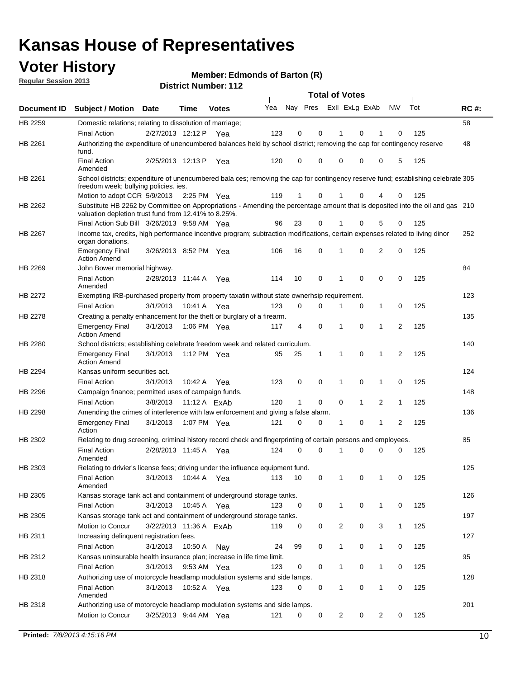### **Voter History**

**Member: Edmonds of Barton (R)** 

**Regular Session 2013**

|                    |                                                                                                                                                                                       |                        |              |              |     |                         |          | <b>Total of Votes</b> |   | $\overline{\phantom{a}}$ |                |     |             |
|--------------------|---------------------------------------------------------------------------------------------------------------------------------------------------------------------------------------|------------------------|--------------|--------------|-----|-------------------------|----------|-----------------------|---|--------------------------|----------------|-----|-------------|
| <b>Document ID</b> | Subject / Motion Date                                                                                                                                                                 |                        | <b>Time</b>  | <b>Votes</b> | Yea | Nay Pres Exll ExLg ExAb |          |                       |   |                          | <b>NV</b>      | Tot | <b>RC#:</b> |
| HB 2259            | Domestic relations; relating to dissolution of marriage;                                                                                                                              |                        |              |              |     |                         |          |                       |   |                          |                |     | 58          |
|                    | <b>Final Action</b>                                                                                                                                                                   | 2/27/2013 12:12 P      |              | Yea          | 123 | 0                       | 0        | 1                     | 0 | 1                        | 0              | 125 |             |
| HB 2261            | Authorizing the expenditure of unencumbered balances held by school district; removing the cap for contingency reserve<br>fund.                                                       |                        |              |              |     |                         |          |                       |   |                          |                |     | 48          |
|                    | <b>Final Action</b><br>Amended                                                                                                                                                        | 2/25/2013 12:13 P      |              | Yea          | 120 | 0                       | 0        | 0                     | 0 | 0                        | 5              | 125 |             |
| HB 2261            | School districts; expenditure of unencumbered bala ces; removing the cap for contingency reserve fund; establishing celebrate 305<br>freedom week; bullying policies. ies.            |                        |              |              |     |                         |          |                       |   |                          |                |     |             |
|                    | Motion to adopt CCR 5/9/2013                                                                                                                                                          |                        | 2:25 PM Yea  |              | 119 | 1                       | 0        | 1                     | 0 | 4                        | 0              | 125 |             |
| HB 2262            | Substitute HB 2262 by Committee on Appropriations - Amending the percentage amount that is deposited into the oil and gas 210<br>valuation depletion trust fund from 12.41% to 8.25%. |                        |              |              |     |                         |          |                       |   |                          |                |     |             |
|                    | Final Action Sub Bill 3/26/2013 9:58 AM Yea                                                                                                                                           |                        |              |              | 96  | 23                      | 0        |                       | 0 | 5                        | 0              | 125 |             |
| HB 2267            | Income tax, credits, high performance incentive program; subtraction modifications, certain expenses related to living dinor<br>organ donations.                                      |                        |              |              |     |                         |          |                       |   |                          |                |     | 252         |
|                    | <b>Emergency Final</b><br><b>Action Amend</b>                                                                                                                                         | 3/26/2013 8:52 PM Yea  |              |              | 106 | 16                      | 0        | 1                     | 0 | 2                        | 0              | 125 |             |
| HB 2269            | John Bower memorial highway.                                                                                                                                                          |                        |              |              |     |                         |          |                       |   |                          |                |     | 84          |
|                    | <b>Final Action</b><br>Amended                                                                                                                                                        | 2/28/2013 11:44 A      |              | Yea          | 114 | 10                      | 0        | $\mathbf 1$           | 0 | 0                        | 0              | 125 |             |
| HB 2272            | Exempting IRB-purchased property from property taxatin without state ownerhsip requirement.                                                                                           |                        |              |              |     |                         |          |                       |   |                          |                |     | 123         |
|                    | <b>Final Action</b>                                                                                                                                                                   | 3/1/2013               | 10:41 A      | Yea          | 123 | 0                       | 0        | 1                     | 0 | $\mathbf{1}$             | 0              | 125 |             |
| HB 2278            | Creating a penalty enhancement for the theft or burglary of a firearm.                                                                                                                |                        |              |              |     |                         |          |                       |   |                          |                |     | 135         |
|                    | <b>Emergency Final</b><br><b>Action Amend</b>                                                                                                                                         | 3/1/2013               | 1:06 PM Yea  |              | 117 | 4                       | 0        | 1                     | 0 | 1                        | $\overline{2}$ | 125 |             |
| HB 2280            | School districts; establishing celebrate freedom week and related curriculum.                                                                                                         |                        |              |              |     |                         |          |                       |   |                          |                |     | 140         |
|                    | <b>Emergency Final</b><br><b>Action Amend</b>                                                                                                                                         | 3/1/2013               | 1:12 PM Yea  |              | 95  | 25                      | 1        | 1                     | 0 | 1                        | 2              | 125 |             |
| HB 2294            | Kansas uniform securities act.                                                                                                                                                        |                        |              |              |     |                         |          |                       |   |                          |                |     | 124         |
|                    | <b>Final Action</b>                                                                                                                                                                   | 3/1/2013               | 10:42 A      | Yea          | 123 | 0                       | 0        | 1                     | 0 | 1                        | 0              | 125 |             |
| HB 2296            | Campaign finance; permitted uses of campaign funds.                                                                                                                                   |                        |              |              |     |                         |          |                       |   |                          |                |     | 148         |
|                    | <b>Final Action</b>                                                                                                                                                                   | 3/8/2013               | 11:12 A ExAb |              | 120 | 1                       | 0        | 0                     | 1 | 2                        | 1              | 125 |             |
| HB 2298            | Amending the crimes of interference with law enforcement and giving a false alarm.                                                                                                    |                        |              |              |     |                         |          |                       |   |                          |                |     | 136         |
|                    | <b>Emergency Final</b><br>Action                                                                                                                                                      | 3/1/2013               | 1:07 PM Yea  |              | 121 | 0                       | 0        | 1                     | 0 | 1                        | 2              | 125 |             |
| HB 2302            | Relating to drug screening, criminal history record check and fingerprinting of certain persons and employees.                                                                        |                        |              |              |     |                         |          |                       |   |                          |                |     | 85          |
|                    | <b>Final Action</b><br>Amended                                                                                                                                                        | 2/28/2013 11:45 A      |              | Yea          | 124 | 0                       | $\Omega$ | 1                     | 0 | 0                        | 0              | 125 |             |
| HB 2303            | Relating to drivier's license fees; driving under the influence equipment fund.                                                                                                       |                        |              |              |     |                         |          |                       |   |                          |                |     | 125         |
|                    | <b>Final Action</b><br>Amended                                                                                                                                                        | 3/1/2013               | 10:44 A      | Yea          | 113 | 10                      | 0        |                       | 0 |                          | 0              | 125 |             |
| HB 2305            | Kansas storage tank act and containment of underground storage tanks.                                                                                                                 |                        |              |              |     |                         |          |                       |   |                          |                |     | 126         |
|                    | <b>Final Action</b>                                                                                                                                                                   | 3/1/2013               | 10:45 A      | Yea          | 123 | 0                       | 0        | 1                     | 0 | 1                        | 0              | 125 |             |
| HB 2305            | Kansas storage tank act and containment of underground storage tanks.                                                                                                                 |                        |              |              |     |                         |          |                       |   |                          |                |     | 197         |
|                    | Motion to Concur                                                                                                                                                                      | 3/22/2013 11:36 A ExAb |              |              | 119 | 0                       | 0        | 2                     | 0 | 3                        | $\mathbf{1}$   | 125 |             |
| HB 2311            | Increasing delinquent registration fees.                                                                                                                                              |                        |              |              |     |                         |          |                       |   |                          |                |     | 127         |
|                    | <b>Final Action</b>                                                                                                                                                                   | 3/1/2013               | 10:50 A      | Nay          | 24  | 99                      | 0        | 1                     | 0 | $\mathbf{1}$             | 0              | 125 |             |
| HB 2312            | Kansas uninsurable health insurance plan; increase in life time limit.                                                                                                                |                        |              |              |     |                         |          |                       |   |                          |                |     | 95          |
|                    | <b>Final Action</b>                                                                                                                                                                   | 3/1/2013               | 9:53 AM Yea  |              | 123 | 0                       | 0        | 1                     | 0 | $\mathbf{1}$             | 0              | 125 |             |
| HB 2318            | Authorizing use of motorcycle headlamp modulation systems and side lamps.                                                                                                             |                        |              |              |     |                         |          |                       |   |                          |                |     | 128         |
|                    | <b>Final Action</b><br>Amended                                                                                                                                                        | 3/1/2013               | 10:52 A      | Yea          | 123 | 0                       | 0        | 1                     | 0 | 1                        | 0              | 125 |             |
| HB 2318            | Authorizing use of motorcycle headlamp modulation systems and side lamps.                                                                                                             |                        |              |              |     |                         |          |                       |   |                          |                |     | 201         |
|                    | Motion to Concur                                                                                                                                                                      | 3/25/2013 9:44 AM Yea  |              |              | 121 | 0                       | 0        | 2                     | 0 | 2                        | 0              | 125 |             |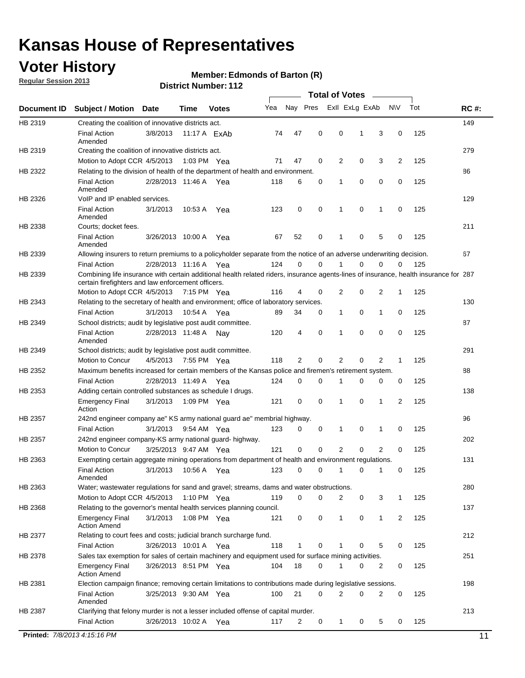### **Voter History**

**Regular Session 2013**

#### **Member: Edmonds of Barton (R)**

|             |                                                                                                                                                                                             |                       |             |                     |     |                |             | <b>Total of Votes</b> |   |              |     |     |             |
|-------------|---------------------------------------------------------------------------------------------------------------------------------------------------------------------------------------------|-----------------------|-------------|---------------------|-----|----------------|-------------|-----------------------|---|--------------|-----|-----|-------------|
| Document ID | <b>Subject / Motion</b>                                                                                                                                                                     | Date                  | Time        | <b>Votes</b>        | Yea | Nay Pres       |             | Exll ExLg ExAb        |   |              | N\V | Tot | <b>RC#:</b> |
| HB 2319     | Creating the coalition of innovative districts act.                                                                                                                                         |                       |             |                     |     |                |             |                       |   |              |     |     | 149         |
|             | <b>Final Action</b>                                                                                                                                                                         | 3/8/2013              |             | 11:17 A <b>ExAb</b> | 74  | 47             | 0           | 0                     | 1 | 3            | 0   | 125 |             |
| HB 2319     | Amended<br>Creating the coalition of innovative districts act.                                                                                                                              |                       |             |                     |     |                |             |                       |   |              |     |     | 279         |
|             | Motion to Adopt CCR 4/5/2013                                                                                                                                                                |                       | 1:03 PM Yea |                     | 71  | 47             | 0           | 2                     | 0 | 3            | 2   | 125 |             |
| HB 2322     | Relating to the division of health of the department of health and environment.                                                                                                             |                       |             |                     |     |                |             |                       |   |              |     |     | 86          |
|             | <b>Final Action</b>                                                                                                                                                                         | 2/28/2013 11:46 A Yea |             |                     | 118 | 6              | 0           | 1                     | 0 | 0            | 0   | 125 |             |
|             | Amended                                                                                                                                                                                     |                       |             |                     |     |                |             |                       |   |              |     |     |             |
| HB 2326     | VoIP and IP enabled services.                                                                                                                                                               |                       |             |                     |     |                |             |                       |   |              |     |     | 129         |
|             | <b>Final Action</b><br>Amended                                                                                                                                                              | 3/1/2013              | 10:53 A     | Yea                 | 123 | $\mathbf 0$    | $\mathbf 0$ | 1                     | 0 | 1            | 0   | 125 |             |
| HB 2338     | Courts; docket fees.                                                                                                                                                                        |                       |             |                     |     |                |             |                       |   |              |     |     | 211         |
|             | <b>Final Action</b><br>Amended                                                                                                                                                              | 3/26/2013 10:00 A     |             | Yea                 | 67  | 52             | 0           | 1                     | 0 | 5            | 0   | 125 |             |
| HB 2339     | Allowing insurers to return premiums to a policyholder separate from the notice of an adverse underwriting decision.                                                                        |                       |             |                     |     |                |             |                       |   |              |     |     | 67          |
|             | <b>Final Action</b>                                                                                                                                                                         | 2/28/2013 11:16 A Yea |             |                     | 124 | 0              | $\mathbf 0$ |                       | 0 | 0            | 0   | 125 |             |
| HB 2339     | Combining life insurance with certain additional health related riders, insurance agents-lines of insurance, health insurance for 287<br>certain firefighters and law enforcement officers. |                       |             |                     |     |                |             |                       |   |              |     |     |             |
|             | Motion to Adopt CCR 4/5/2013 7:15 PM Yea                                                                                                                                                    |                       |             |                     | 116 | 4              | 0           | 2                     | 0 | 2            | -1  | 125 |             |
| HB 2343     | Relating to the secretary of health and environment; office of laboratory services.                                                                                                         |                       |             |                     |     |                |             |                       |   |              |     |     | 130         |
|             | <b>Final Action</b>                                                                                                                                                                         | 3/1/2013              | 10:54 A Yea |                     | 89  | 34             | 0           | 1                     | 0 | 1            | 0   | 125 |             |
| HB 2349     | School districts; audit by legislative post audit committee.                                                                                                                                |                       |             |                     |     |                |             |                       |   |              |     |     | 87          |
|             | <b>Final Action</b><br>Amended                                                                                                                                                              | 2/28/2013 11:48 A Nav |             |                     | 120 | 4              | $\mathbf 0$ | 1                     | 0 | 0            | 0   | 125 |             |
| HB 2349     | School districts; audit by legislative post audit committee.                                                                                                                                |                       |             |                     |     |                |             |                       |   |              |     |     | 291         |
|             | Motion to Concur                                                                                                                                                                            | 4/5/2013              | 7:55 PM Yea |                     | 118 | $\overline{2}$ | $\mathbf 0$ | $\overline{2}$        | 0 | 2            | 1   | 125 |             |
| HB 2352     | Maximum benefits increased for certain members of the Kansas police and firemen's retirement system.                                                                                        |                       |             |                     |     |                |             |                       |   |              |     |     | 88          |
|             | <b>Final Action</b>                                                                                                                                                                         | 2/28/2013 11:49 A     |             | Yea                 | 124 | 0              | 0           | 1                     | 0 | 0            | 0   | 125 |             |
| HB 2353     | Adding certain controlled substances as schedule I drugs.                                                                                                                                   |                       |             |                     |     |                |             |                       |   |              |     |     | 138         |
|             | <b>Emergency Final</b><br>Action                                                                                                                                                            | 3/1/2013              | 1:09 PM Yea |                     | 121 | 0              | 0           | 1                     | 0 | 1            | 2   | 125 |             |
| HB 2357     | 242nd engineer company ae" KS army national guard ae" membrial highway.                                                                                                                     |                       |             |                     |     |                |             |                       |   |              |     |     | 96          |
|             | <b>Final Action</b>                                                                                                                                                                         | 3/1/2013              | 9:54 AM Yea |                     | 123 | 0              | 0           | 1                     | 0 | 1            | 0   | 125 |             |
| HB 2357     | 242nd engineer company-KS army national guard- highway.                                                                                                                                     |                       |             |                     |     |                |             |                       |   |              |     |     | 202         |
|             | Motion to Concur                                                                                                                                                                            | 3/25/2013 9:47 AM Yea |             |                     | 121 | $\mathbf 0$    | $\mathbf 0$ | $\overline{2}$        | 0 | 2            | 0   | 125 |             |
| HB 2363     | Exempting certain aggregate mining operations from department of health and environment regulations.                                                                                        |                       |             |                     |     |                |             |                       |   |              |     |     | 131         |
|             | <b>Final Action</b><br>Amended                                                                                                                                                              | 3/1/2013              | 10:56 A Yea |                     | 123 | 0              | 0           | 1                     | 0 | 1            | 0   | 125 |             |
| HB 2363     | Water; wastewater regulations for sand and gravel; streams, dams and water obstructions.                                                                                                    |                       |             |                     |     |                |             |                       |   |              |     |     | 280         |
|             | Motion to Adopt CCR 4/5/2013                                                                                                                                                                |                       | 1:10 PM Yea |                     | 119 | 0              | 0           | 2                     | 0 | 3            | 1   | 125 |             |
| HB 2368     | Relating to the governor's mental health services planning council.                                                                                                                         |                       |             |                     |     |                |             |                       |   |              |     |     | 137         |
|             | <b>Emergency Final</b><br><b>Action Amend</b>                                                                                                                                               | 3/1/2013              | 1:08 PM Yea |                     | 121 | 0              | 0           | 1                     | 0 | $\mathbf{1}$ | 2   | 125 |             |
| HB 2377     | Relating to court fees and costs; judicial branch surcharge fund.                                                                                                                           |                       |             |                     |     |                |             |                       |   |              |     |     | 212         |
|             | <b>Final Action</b>                                                                                                                                                                         | 3/26/2013 10:01 A Yea |             |                     | 118 | 1              | 0           |                       | 0 | 5            | 0   | 125 |             |
| HB 2378     | Sales tax exemption for sales of certain machinery and equipment used for surface mining activities.                                                                                        |                       |             |                     |     |                |             |                       |   |              |     |     | 251         |
|             | <b>Emergency Final</b><br><b>Action Amend</b>                                                                                                                                               | 3/26/2013 8:51 PM Yea |             |                     | 104 | 18             | 0           | 1                     | 0 | 2            | 0   | 125 |             |
| HB 2381     | Election campaign finance; removing certain limitations to contributions made during legislative sessions.                                                                                  |                       |             |                     |     |                |             |                       |   |              |     |     | 198         |
|             | <b>Final Action</b>                                                                                                                                                                         | 3/25/2013 9:30 AM Yea |             |                     | 100 | 21             | 0           | 2                     | 0 | 2            | 0   | 125 |             |
| HB 2387     | Amended<br>Clarifying that felony murder is not a lesser included offense of capital murder.                                                                                                |                       |             |                     |     |                |             |                       |   |              |     |     | 213         |
|             | <b>Final Action</b>                                                                                                                                                                         |                       |             |                     |     |                |             |                       |   |              |     | 125 |             |
|             |                                                                                                                                                                                             | 3/26/2013 10:02 A     |             | Yea                 | 117 | 2              | 0           | 1                     | 0 | 5            | 0   |     |             |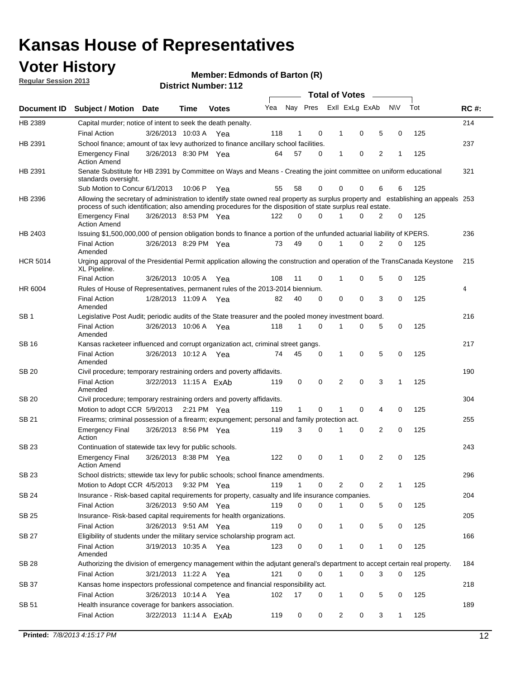### **Voter History**

**Member: Edmonds of Barton (R)** 

**Regular Session 2013**

|                 |                                                                                                                                                                                                                                                  |                        |             |              |     |              |          | <b>Total of Votes</b> |   |   |              |     |             |
|-----------------|--------------------------------------------------------------------------------------------------------------------------------------------------------------------------------------------------------------------------------------------------|------------------------|-------------|--------------|-----|--------------|----------|-----------------------|---|---|--------------|-----|-------------|
| Document ID     | Subject / Motion Date                                                                                                                                                                                                                            |                        | Time        | <b>Votes</b> | Yea | Nay Pres     |          | Exll ExLg ExAb        |   |   | <b>NV</b>    | Tot | <b>RC#:</b> |
| HB 2389         | Capital murder; notice of intent to seek the death penalty.                                                                                                                                                                                      |                        |             |              |     |              |          |                       |   |   |              |     | 214         |
|                 | <b>Final Action</b>                                                                                                                                                                                                                              | 3/26/2013 10:03 A      |             | Yea          | 118 | 1            | 0        | 1                     | 0 | 5 | 0            | 125 |             |
| HB 2391         | School finance; amount of tax levy authorized to finance ancillary school facilities.                                                                                                                                                            |                        |             |              |     |              |          |                       |   |   |              |     | 237         |
|                 | <b>Emergency Final</b><br><b>Action Amend</b>                                                                                                                                                                                                    | 3/26/2013 8:30 PM Yea  |             |              | 64  | 57           | 0        | 1                     | 0 | 2 | 1            | 125 |             |
| HB 2391         | Senate Substitute for HB 2391 by Committee on Ways and Means - Creating the joint committee on uniform educational<br>standards oversight.                                                                                                       |                        |             |              |     |              |          |                       |   |   |              |     | 321         |
|                 | Sub Motion to Concur 6/1/2013                                                                                                                                                                                                                    |                        | 10:06 P     | Yea          | 55  | 58           | 0        | 0                     | 0 | 6 | 6            | 125 |             |
| HB 2396         | Allowing the secretary of administration to identify state owned real property as surplus property and establishing an appeals 253<br>process of such identification; also amending procedures for the disposition of state surplus real estate. |                        |             |              |     |              |          |                       |   |   |              |     |             |
|                 | <b>Emergency Final</b><br>Action Amend                                                                                                                                                                                                           | 3/26/2013 8:53 PM Yea  |             |              | 122 | 0            | 0        |                       | 0 | 2 | 0            | 125 |             |
| HB 2403         | Issuing \$1,500,000,000 of pension obligation bonds to finance a portion of the unfunded actuarial liability of KPERS.                                                                                                                           |                        |             |              |     |              |          |                       |   |   |              |     | 236         |
|                 | <b>Final Action</b><br>Amended                                                                                                                                                                                                                   | 3/26/2013 8:29 PM Yea  |             |              | 73  | 49           | 0        | 1                     | 0 | 2 | 0            | 125 |             |
| <b>HCR 5014</b> | Urging approval of the Presidential Permit application allowing the construction and operation of the TransCanada Keystone<br>XL Pipeline.                                                                                                       |                        |             |              |     |              |          |                       |   |   |              |     | 215         |
|                 | <b>Final Action</b>                                                                                                                                                                                                                              | 3/26/2013 10:05 A      |             | Yea          | 108 | 11           | 0        |                       | 0 | 5 | 0            | 125 |             |
| HR 6004         | Rules of House of Representatives, permanent rules of the 2013-2014 biennium.                                                                                                                                                                    |                        |             |              |     |              |          |                       |   |   |              |     | 4           |
|                 | <b>Final Action</b><br>Amended                                                                                                                                                                                                                   | 1/28/2013 11:09 A      |             | Yea          | 82  | 40           | 0        | 0                     | 0 | 3 | 0            | 125 |             |
| SB 1            | Legislative Post Audit; periodic audits of the State treasurer and the pooled money investment board.                                                                                                                                            |                        |             |              |     |              |          |                       |   |   |              |     | 216         |
|                 | <b>Final Action</b><br>Amended                                                                                                                                                                                                                   | 3/26/2013 10:06 A      |             | Yea          | 118 | 1            | 0        | 1                     | 0 | 5 | 0            | 125 |             |
| SB 16           | Kansas racketeer influenced and corrupt organization act, criminal street gangs.                                                                                                                                                                 |                        |             |              |     |              |          |                       |   |   |              |     | 217         |
|                 | <b>Final Action</b><br>Amended                                                                                                                                                                                                                   | 3/26/2013 10:12 A Yea  |             |              | 74  | 45           | 0        | 1                     | 0 | 5 | 0            | 125 |             |
| SB 20           | Civil procedure; temporary restraining orders and poverty affidavits.                                                                                                                                                                            |                        |             |              |     |              |          |                       |   |   |              |     | 190         |
|                 | <b>Final Action</b><br>Amended                                                                                                                                                                                                                   | 3/22/2013 11:15 A ExAb |             |              | 119 | 0            | 0        | 2                     | 0 | 3 | 1            | 125 |             |
| SB 20           | Civil procedure; temporary restraining orders and poverty affidavits.                                                                                                                                                                            |                        |             |              |     |              |          |                       |   |   |              |     | 304         |
|                 | Motion to adopt CCR 5/9/2013                                                                                                                                                                                                                     |                        | 2:21 PM Yea |              | 119 | $\mathbf{1}$ | 0        | 1                     | 0 | 4 | 0            | 125 |             |
| SB 21           | Firearms; criminal possession of a firearm; expungement; personal and family protection act.                                                                                                                                                     |                        |             |              |     |              |          |                       |   |   |              |     | 255         |
|                 | <b>Emergency Final</b><br>Action                                                                                                                                                                                                                 | 3/26/2013 8:56 PM Yea  |             |              | 119 | 3            | 0        |                       | 0 | 2 | 0            | 125 |             |
| SB 23           | Continuation of statewide tax levy for public schools.                                                                                                                                                                                           |                        |             |              |     |              |          |                       |   |   |              |     | 243         |
|                 | <b>Emergency Final</b><br><b>Action Amend</b>                                                                                                                                                                                                    | 3/26/2013 8:38 PM Yea  |             |              | 122 | 0            | 0        | 1                     | 0 | 2 | 0            | 125 |             |
| <b>SB 23</b>    | School districts; sttewide tax levy for public schools; school finance amendments.                                                                                                                                                               |                        |             |              |     |              |          |                       |   |   |              |     | 296         |
|                 | Motion to Adopt CCR 4/5/2013 9:32 PM Yea                                                                                                                                                                                                         |                        |             |              | 119 | 1            | 0        | 2                     | 0 | 2 | 1            | 125 |             |
| <b>SB 24</b>    | Insurance - Risk-based capital requirements for property, casualty and life insurance companies.                                                                                                                                                 |                        |             |              |     |              |          |                       |   |   |              |     | 204         |
|                 | <b>Final Action</b>                                                                                                                                                                                                                              | 3/26/2013 9:50 AM Yea  |             |              | 119 | 0            | 0        |                       | 0 | 5 | 0            | 125 |             |
| SB 25           | Insurance-Risk-based capital requirements for health organizations.                                                                                                                                                                              |                        |             |              |     |              |          |                       |   |   |              |     | 205         |
|                 | <b>Final Action</b>                                                                                                                                                                                                                              | 3/26/2013 9:51 AM Yea  |             |              | 119 | 0            | 0        | 1                     | 0 | 5 | 0            | 125 |             |
| SB 27           | Eligibility of students under the military service scholarship program act.                                                                                                                                                                      |                        |             |              |     |              |          |                       |   |   |              |     | 166         |
|                 | <b>Final Action</b><br>Amended                                                                                                                                                                                                                   | 3/19/2013 10:35 A Yea  |             |              | 123 | 0            | 0        |                       | 0 | 1 | 0            | 125 |             |
| SB 28           | Authorizing the division of emergency management within the adjutant general's department to accept certain real property.                                                                                                                       |                        |             |              |     |              |          |                       |   |   |              |     | 184         |
|                 | <b>Final Action</b>                                                                                                                                                                                                                              | 3/21/2013 11:22 A Yea  |             |              | 121 | 0            | $\Omega$ | 1                     | 0 | 3 | $\Omega$     | 125 |             |
| SB 37           | Kansas home inspectors professional competence and financial responsibility act.                                                                                                                                                                 |                        |             |              |     |              |          |                       |   |   |              |     | 218         |
|                 | <b>Final Action</b>                                                                                                                                                                                                                              | 3/26/2013 10:14 A Yea  |             |              | 102 | 17           | 0        | 1                     | 0 | 5 | 0            | 125 |             |
| SB 51           | Health insurance coverage for bankers association.                                                                                                                                                                                               |                        |             |              |     |              |          |                       |   |   |              |     | 189         |
|                 | <b>Final Action</b>                                                                                                                                                                                                                              | 3/22/2013 11:14 A ExAb |             |              | 119 | 0            | 0        | 2                     | 0 | 3 | $\mathbf{1}$ | 125 |             |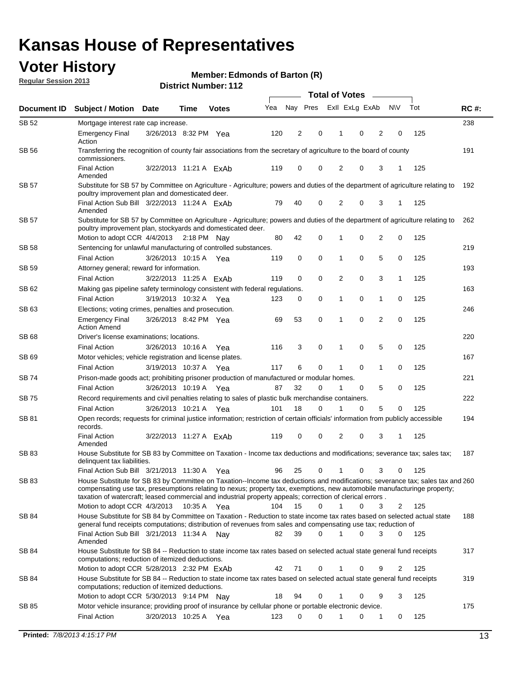### **Voter History**

**Member: Edmonds of Barton (R)** 

**Regular Session 2013**

|              |                                                                                                                                                                                                                                            |                        |             |              |     | <b>Total of Votes</b> |             |                |   |                |             |     |             |  |
|--------------|--------------------------------------------------------------------------------------------------------------------------------------------------------------------------------------------------------------------------------------------|------------------------|-------------|--------------|-----|-----------------------|-------------|----------------|---|----------------|-------------|-----|-------------|--|
| Document ID  | <b>Subject / Motion Date</b>                                                                                                                                                                                                               |                        | Time        | <b>Votes</b> | Yea | Nay Pres              |             | Exll ExLg ExAb |   |                | <b>NV</b>   | Tot | <b>RC#:</b> |  |
| SB 52        | Mortgage interest rate cap increase.                                                                                                                                                                                                       |                        |             |              |     |                       |             |                |   |                |             |     | 238         |  |
|              | <b>Emergency Final</b><br>Action                                                                                                                                                                                                           | 3/26/2013 8:32 PM Yea  |             |              | 120 | 2                     | 0           |                | 0 | 2              | 0           | 125 |             |  |
| SB 56        | Transferring the recognition of county fair associations from the secretary of agriculture to the board of county<br>commissioners.                                                                                                        |                        |             |              |     |                       |             |                |   |                |             |     | 191         |  |
|              | <b>Final Action</b><br>Amended                                                                                                                                                                                                             | 3/22/2013 11:21 A ExAb |             |              | 119 | 0                     | 0           | 2              | 0 | 3              | 1           | 125 |             |  |
| SB 57        | Substitute for SB 57 by Committee on Agriculture - Agriculture; powers and duties of the department of agriculture relating to<br>poultry improvement plan and domesticated deer.                                                          |                        |             |              |     |                       |             |                |   |                |             |     | 192         |  |
|              | Final Action Sub Bill 3/22/2013 11:24 A ExAb<br>Amended                                                                                                                                                                                    |                        |             |              | 79  | 40                    | 0           | 2              | 0 | 3              | 1           | 125 |             |  |
| SB 57        | Substitute for SB 57 by Committee on Agriculture - Agriculture; powers and duties of the department of agriculture relating to<br>poultry improvement plan, stockyards and domesticated deer.                                              |                        |             |              |     |                       |             |                |   |                |             |     | 262         |  |
|              | Motion to adopt CCR 4/4/2013 2:18 PM Nay                                                                                                                                                                                                   |                        |             |              | 80  | 42                    | 0           | 1              | 0 | 2              | 0           | 125 |             |  |
| SB 58        | Sentencing for unlawful manufacturing of controlled substances.                                                                                                                                                                            |                        |             |              |     |                       |             |                |   |                |             |     | 219         |  |
|              | <b>Final Action</b>                                                                                                                                                                                                                        | 3/26/2013 10:15 A      |             | Yea          | 119 | 0                     | 0           | 1              | 0 | 5              | 0           | 125 |             |  |
| <b>SB 59</b> | Attorney general; reward for information.                                                                                                                                                                                                  |                        |             |              |     |                       |             |                |   |                |             |     | 193         |  |
|              | <b>Final Action</b>                                                                                                                                                                                                                        | 3/22/2013 11:25 A FxAb |             |              | 119 | 0                     | 0           | 2              | 0 | 3              | 1           | 125 |             |  |
| SB 62        | Making gas pipeline safety terminology consistent with federal regulations.                                                                                                                                                                |                        |             |              |     |                       |             |                |   |                |             |     | 163         |  |
|              | <b>Final Action</b>                                                                                                                                                                                                                        | 3/19/2013 10:32 A Yea  |             |              | 123 | 0                     | 0           | 1              | 0 | 1              | 0           | 125 |             |  |
| SB 63        | Elections; voting crimes, penalties and prosecution.                                                                                                                                                                                       |                        |             |              |     |                       |             |                |   |                |             |     | 246         |  |
|              | <b>Emergency Final</b><br><b>Action Amend</b>                                                                                                                                                                                              | 3/26/2013 8:42 PM Yea  |             |              | 69  | 53                    | $\mathbf 0$ | 1              | 0 | $\overline{2}$ | $\mathbf 0$ | 125 |             |  |
| <b>SB68</b>  | Driver's license examinations; locations.                                                                                                                                                                                                  |                        |             |              |     |                       |             |                |   |                |             |     | 220         |  |
|              | <b>Final Action</b>                                                                                                                                                                                                                        | 3/26/2013 10:16 A      |             | Yea          | 116 | 3                     | 0           | 1              | 0 | 5              | 0           | 125 |             |  |
| SB 69        | Motor vehicles; vehicle registration and license plates.                                                                                                                                                                                   |                        |             |              |     |                       |             |                |   |                |             |     | 167         |  |
|              | <b>Final Action</b>                                                                                                                                                                                                                        | 3/19/2013 10:37 A      |             | Yea          | 117 | 6                     | 0           | 1              | 0 | $\mathbf{1}$   | 0           | 125 |             |  |
| SB 74        | Prison-made goods act; prohibiting prisoner production of manufactured or modular homes.                                                                                                                                                   |                        |             |              |     |                       |             |                |   |                |             |     | 221         |  |
|              | <b>Final Action</b>                                                                                                                                                                                                                        | 3/26/2013 10:19 A      |             | Yea          | 87  | 32                    | 0           | 1              | 0 | 5              | 0           | 125 |             |  |
| SB 75        | Record requirements and civil penalties relating to sales of plastic bulk merchandise containers.                                                                                                                                          |                        |             |              |     |                       |             |                |   |                |             |     | 222         |  |
|              | <b>Final Action</b>                                                                                                                                                                                                                        | 3/26/2013 10:21 A      |             | Yea          | 101 | 18                    | 0           | 1              | 0 | 5              | 0           | 125 |             |  |
| SB 81        | Open records; requests for criminal justice information; restriction of certain officials' information from publicly accessible<br>records.                                                                                                |                        |             |              |     |                       |             |                |   |                |             |     | 194         |  |
|              | <b>Final Action</b><br>Amended                                                                                                                                                                                                             | 3/22/2013 11:27 A ExAb |             |              | 119 | 0                     | 0           | 2              | 0 | 3              |             | 125 |             |  |
| <b>SB83</b>  | House Substitute for SB 83 by Committee on Taxation - Income tax deductions and modifications; severance tax; sales tax;<br>delinquent tax liabilities.<br>Final Action Sub Bill 3/21/2013 11:30 A Yea                                     |                        |             |              | 96  | 25                    | 0           | 1              | 0 | 3              | 0           | 125 | 187         |  |
| SB 83        | House Substitute for SB 83 by Committee on Taxation--Income tax deductions and modifications; severance tax; sales tax and 260                                                                                                             |                        |             |              |     |                       |             |                |   |                |             |     |             |  |
|              | compensating use tax, preseumptions relating to nexus; property tax, exemptions, new automobile manufacturinge property;<br>taxation of watercraft; leased commercial and industrial property appeals; correction of clerical errors.      |                        |             |              |     |                       |             |                |   |                |             |     |             |  |
|              | Motion to adopt CCR 4/3/2013                                                                                                                                                                                                               |                        | 10:35 A Yea |              | 104 | 15                    | 0           | $\mathbf{1}$   | 0 | 3              | 2           | 125 |             |  |
| SB 84        | House Substitute for SB 84 by Committee on Taxation - Reduction to state income tax rates based on selected actual state<br>general fund receipts computations; distribution of revenues from sales and compensating use tax; reduction of |                        |             |              |     |                       | $\Omega$    |                | 0 | 3              | $\Omega$    |     | 188         |  |
| SB 84        | Final Action Sub Bill 3/21/2013 11:34 A Nay<br>Amended<br>House Substitute for SB 84 -- Reduction to state income tax rates based on selected actual state general fund receipts                                                           |                        |             |              | 82  | 39                    |             |                |   |                |             | 125 | 317         |  |
|              | computations; reduction of itemized deductions.<br>Motion to adopt CCR 5/28/2013 2:32 PM ExAb                                                                                                                                              |                        |             |              | 42  | 71                    | 0           |                | 0 | 9              | 2           | 125 |             |  |
| SB 84        | House Substitute for SB 84 -- Reduction to state income tax rates based on selected actual state general fund receipts                                                                                                                     |                        |             |              |     |                       |             |                |   |                |             |     | 319         |  |
|              | computations; reduction of itemized deductions.<br>Motion to adopt CCR 5/30/2013 9:14 PM Nay                                                                                                                                               |                        |             |              | 18  | 94                    | 0           |                | 0 | 9              | 3           | 125 |             |  |
| SB 85        | Motor vehicle insurance; providing proof of insurance by cellular phone or portable electronic device.                                                                                                                                     |                        |             |              |     |                       |             |                |   |                |             |     | 175         |  |
|              | <b>Final Action</b>                                                                                                                                                                                                                        | 3/20/2013 10:25 A Yea  |             |              | 123 | 0                     | $\Omega$    |                | 0 | 1              | 0           | 125 |             |  |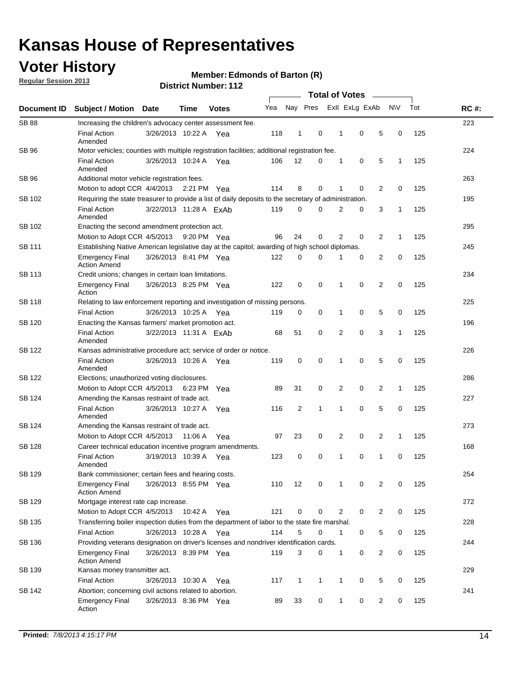### **Voter History**

**Regular Session 2013**

#### **Member: Edmonds of Barton (R)**

|                    |                                                                                                       | דו הסמווטג ושמות <i>ב</i> וס |             | <b>Total of Votes</b> |     |                |              |  |                |                |                |              |     |             |
|--------------------|-------------------------------------------------------------------------------------------------------|------------------------------|-------------|-----------------------|-----|----------------|--------------|--|----------------|----------------|----------------|--------------|-----|-------------|
| <b>Document ID</b> | <b>Subject / Motion</b>                                                                               | <b>Date</b>                  | <b>Time</b> | <b>Votes</b>          | Yea |                | Nay Pres     |  |                | Exll ExLg ExAb |                | <b>NV</b>    | Tot | <b>RC#:</b> |
| <b>SB 88</b>       | Increasing the children's advocacy center assessment fee.                                             |                              |             |                       |     |                |              |  |                |                |                |              |     | 223         |
|                    | <b>Final Action</b><br>Amended                                                                        | 3/26/2013 10:22 A            |             | Yea                   | 118 | $\mathbf{1}$   | 0            |  | $\mathbf 1$    | 0              | 5              | 0            | 125 |             |
| <b>SB 96</b>       | Motor vehicles; counties with multiple registration facilities; additional registration fee.          |                              |             |                       |     |                |              |  |                |                |                |              |     | 224         |
|                    | <b>Final Action</b><br>Amended                                                                        | 3/26/2013 10:24 A            |             | Yea                   | 106 | 12             | 0            |  | 1              | 0              | 5              | 1            | 125 |             |
| SB 96              | Additional motor vehicle registration fees.                                                           |                              |             |                       |     |                |              |  |                |                |                |              |     | 263         |
|                    | Motion to adopt CCR 4/4/2013 2:21 PM Yea                                                              |                              |             |                       | 114 | 8              | 0            |  | 1              | 0              | 2              | 0            | 125 |             |
| SB 102             | Requiring the state treasurer to provide a list of daily deposits to the secretary of administration. |                              |             |                       |     |                |              |  |                |                |                |              |     | 195         |
|                    | <b>Final Action</b><br>Amended                                                                        | 3/22/2013 11:28 A ExAb       |             |                       | 119 | 0              | 0            |  | 2              | 0              | 3              | 1            | 125 |             |
| SB 102             | Enacting the second amendment protection act.                                                         |                              |             |                       |     |                |              |  |                |                |                |              |     | 295         |
|                    | Motion to Adopt CCR 4/5/2013 9:20 PM Yea                                                              |                              |             |                       | 96  | 24             | 0            |  | $\overline{2}$ | 0              | 2              | $\mathbf{1}$ | 125 |             |
| SB 111             | Establishing Native American legislative day at the capitol; awarding of high school diplomas.        |                              |             |                       |     |                |              |  |                |                |                |              | 245 |             |
|                    | <b>Emergency Final</b><br><b>Action Amend</b>                                                         | 3/26/2013 8:41 PM Yea        |             |                       | 122 | 0              | $\Omega$     |  |                | 0              | $\overline{2}$ | 0            | 125 |             |
| <b>SB 113</b>      | Credit unions; changes in certain loan limitations.                                                   |                              |             |                       |     |                |              |  |                |                |                |              |     | 234         |
|                    | <b>Emergency Final</b><br>Action                                                                      | 3/26/2013 8:25 PM Yea        |             |                       | 122 | $\mathbf 0$    | 0            |  | 1              | $\mathbf 0$    | 2              | 0            | 125 |             |
| <b>SB 118</b>      | Relating to law enforcement reporting and investigation of missing persons.                           |                              |             |                       |     |                |              |  |                |                |                |              |     | 225         |
|                    | <b>Final Action</b>                                                                                   | 3/26/2013 10:25 A            |             | Yea                   | 119 | 0              | 0            |  | 1              | 0              | 5              | 0            | 125 |             |
| <b>SB 120</b>      | Enacting the Kansas farmers' market promotion act.                                                    |                              |             |                       |     |                |              |  |                |                |                |              |     | 196         |
|                    | <b>Final Action</b><br>Amended                                                                        | 3/22/2013 11:31 A ExAb       |             |                       | 68  | 51             | 0            |  | $\overline{2}$ | $\mathbf 0$    | 3              | 1            | 125 |             |
| SB 122             | Kansas administrative procedure act; service of order or notice.                                      |                              |             |                       |     |                |              |  |                |                |                |              |     | 226         |
|                    | <b>Final Action</b><br>Amended                                                                        | 3/26/2013 10:26 A Yea        |             |                       | 119 | 0              | 0            |  | 1              | 0              | 5              | 0            | 125 |             |
| SB 122             | Elections; unauthorized voting disclosures.                                                           |                              |             |                       |     |                |              |  |                |                |                |              |     | 286         |
|                    | Motion to Adopt CCR 4/5/2013                                                                          |                              | 6:23 PM     | Yea                   | 89  | 31             | 0            |  | 2              | 0              | 2              | $\mathbf{1}$ | 125 |             |
| SB 124             | Amending the Kansas restraint of trade act.                                                           |                              |             |                       |     |                |              |  |                |                |                |              |     | 227         |
|                    | <b>Final Action</b><br>Amended                                                                        | 3/26/2013 10:27 A            |             | Yea                   | 116 | $\overline{2}$ | 1            |  | 1              | $\mathbf 0$    | 5              | $\mathbf 0$  | 125 |             |
| SB 124             | Amending the Kansas restraint of trade act.                                                           |                              |             |                       |     |                |              |  |                |                |                |              |     | 273         |
|                    | Motion to Adopt CCR 4/5/2013                                                                          |                              | 11:06 A     | Yea                   | 97  | 23             | 0            |  | $\overline{2}$ | $\mathbf 0$    | $\overline{2}$ | 1            | 125 |             |
| SB 128             | Career technical education incentive program amendments.                                              |                              |             |                       |     |                |              |  |                |                |                |              |     | 168         |
|                    | <b>Final Action</b><br>Amended                                                                        | 3/19/2013 10:39 A            |             | Yea                   | 123 | 0              | 0            |  | 1              | 0              | 1              | 0            | 125 |             |
| SB 129             | Bank commissioner; certain fees and hearing costs.                                                    |                              |             |                       |     |                |              |  |                |                |                |              |     | 254         |
|                    | <b>Emergency Final</b><br><b>Action Amend</b>                                                         | 3/26/2013 8:55 PM Yea        |             |                       | 110 | 12             | 0            |  | 1              | 0              | 2              | 0            | 125 |             |
| SB 129             | Mortgage interest rate cap increase.                                                                  |                              |             |                       |     |                |              |  |                |                |                |              |     | 272         |
|                    | Motion to Adopt CCR 4/5/2013 10:42 A Yea                                                              |                              |             |                       | 121 | $\mathbf 0$    | 0            |  | $\overline{2}$ | 0              | $\overline{2}$ | 0            | 125 |             |
| SB 135             | Transferring boiler inspection duties from the department of labor to the state fire marshal.         |                              |             |                       |     |                |              |  |                |                |                |              |     | 228         |
|                    | Final Action                                                                                          | 3/26/2013 10:28 A Yea        |             |                       | 114 | 5              | 0            |  | $\mathbf{1}$   | 0              | 5              | 0            | 125 |             |
| SB 136             | Providing veterans designation on driver's licenses and nondriver identification cards.               |                              |             |                       |     |                |              |  |                |                |                |              |     | 244         |
|                    | Emergency Final<br><b>Action Amend</b>                                                                | 3/26/2013 8:39 PM Yea        |             |                       | 119 | 3              | 0            |  | 1              | 0              | $\overline{2}$ | 0            | 125 |             |
| SB 139             | Kansas money transmitter act.                                                                         |                              |             |                       |     |                |              |  |                |                |                |              |     | 229         |
|                    | <b>Final Action</b>                                                                                   | 3/26/2013 10:30 A Yea        |             |                       | 117 | $\mathbf{1}$   | $\mathbf{1}$ |  | $\mathbf{1}$   | 0              | 5              | 0            | 125 |             |
| SB 142             | Abortion; concerning civil actions related to abortion.                                               |                              |             |                       |     |                |              |  |                |                |                |              |     | 241         |
|                    | Emergency Final<br>Action                                                                             | 3/26/2013 8:36 PM Yea        |             |                       | 89  | 33             | 0            |  | $\mathbf{1}$   | 0              | $\overline{2}$ | 0            | 125 |             |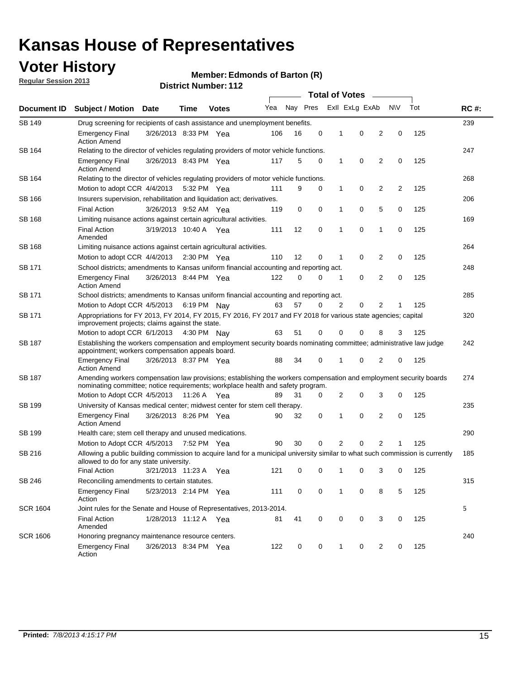### **Voter History**

**Member: Edmonds of Barton (R)** 

**Regular Session 2013**

| Document ID     |                                                                                                                                                                                                       |                                                                                    |             |              | <b>Total of Votes</b> |          |   |   |                |                |           |     |             |  |  |  |  |  |
|-----------------|-------------------------------------------------------------------------------------------------------------------------------------------------------------------------------------------------------|------------------------------------------------------------------------------------|-------------|--------------|-----------------------|----------|---|---|----------------|----------------|-----------|-----|-------------|--|--|--|--|--|
|                 | <b>Subject / Motion Date</b>                                                                                                                                                                          |                                                                                    | Time        | <b>Votes</b> | Yea                   | Nay Pres |   |   | Exll ExLg ExAb |                | <b>NV</b> | Tot | <b>RC#:</b> |  |  |  |  |  |
| <b>SB 149</b>   |                                                                                                                                                                                                       | 239<br>Drug screening for recipients of cash assistance and unemployment benefits. |             |              |                       |          |   |   |                |                |           |     |             |  |  |  |  |  |
|                 | <b>Emergency Final</b><br><b>Action Amend</b>                                                                                                                                                         | 3/26/2013 8:33 PM Yea                                                              |             |              | 106                   | 16       | 0 | 1 | 0              | 2              | 0         | 125 |             |  |  |  |  |  |
| SB 164          | Relating to the director of vehicles regulating providers of motor vehicle functions.                                                                                                                 |                                                                                    |             |              |                       |          |   |   |                |                |           |     | 247         |  |  |  |  |  |
|                 | <b>Emergency Final</b><br><b>Action Amend</b>                                                                                                                                                         | 3/26/2013 8:43 PM Yea                                                              |             |              | 117                   | 5        | 0 | 1 | 0              | 2              | 0         | 125 |             |  |  |  |  |  |
| SB 164          | Relating to the director of vehicles regulating providers of motor vehicle functions.                                                                                                                 |                                                                                    |             |              |                       |          |   |   |                |                |           |     | 268         |  |  |  |  |  |
|                 | Motion to adopt CCR 4/4/2013                                                                                                                                                                          |                                                                                    | 5:32 PM Yea |              | 111                   | 9        | 0 | 1 | 0              | 2              | 2         | 125 |             |  |  |  |  |  |
| SB 166          | Insurers supervision, rehabilitation and liquidation act; derivatives.                                                                                                                                |                                                                                    |             |              |                       |          |   |   |                |                |           |     | 206         |  |  |  |  |  |
|                 | <b>Final Action</b>                                                                                                                                                                                   | 3/26/2013 9:52 AM Yea                                                              |             |              | 119                   | 0        | 0 | 1 | 0              | 5              | 0         | 125 |             |  |  |  |  |  |
| SB 168          | Limiting nuisance actions against certain agricultural activities.                                                                                                                                    |                                                                                    |             |              |                       |          |   |   |                |                |           |     | 169         |  |  |  |  |  |
|                 | <b>Final Action</b><br>Amended                                                                                                                                                                        | 3/19/2013 10:40 A Yea                                                              |             |              | 111                   | 12       | 0 | 1 | 0              | 1              | 0         | 125 |             |  |  |  |  |  |
| SB 168          | Limiting nuisance actions against certain agricultural activities.                                                                                                                                    |                                                                                    |             |              |                       |          |   |   |                |                |           |     | 264         |  |  |  |  |  |
|                 | Motion to adopt CCR 4/4/2013                                                                                                                                                                          |                                                                                    |             | 2:30 PM Yea  | 110                   | 12       | 0 | 1 | 0              | 2              | 0         | 125 |             |  |  |  |  |  |
| SB 171          | School districts; amendments to Kansas uniform financial accounting and reporting act.                                                                                                                |                                                                                    |             |              |                       |          |   |   |                |                |           |     | 248         |  |  |  |  |  |
|                 | <b>Emergency Final</b><br><b>Action Amend</b>                                                                                                                                                         | 3/26/2013 8:44 PM Yea                                                              |             |              | 122                   | 0        | 0 | 1 | 0              | 2              | 0         | 125 |             |  |  |  |  |  |
| SB 171          | School districts; amendments to Kansas uniform financial accounting and reporting act.                                                                                                                |                                                                                    |             |              |                       |          |   |   |                |                |           |     | 285         |  |  |  |  |  |
|                 | Motion to Adopt CCR 4/5/2013 6:19 PM Nay                                                                                                                                                              |                                                                                    |             |              | 63                    | 57       | 0 | 2 | 0              | 2              | 125       |     |             |  |  |  |  |  |
| SB 171          | Appropriations for FY 2013, FY 2014, FY 2015, FY 2016, FY 2017 and FY 2018 for various state agencies; capital<br>improvement projects; claims against the state.                                     |                                                                                    |             |              |                       |          |   |   |                |                |           |     | 320         |  |  |  |  |  |
|                 | Motion to adopt CCR 6/1/2013 4:30 PM Nay                                                                                                                                                              |                                                                                    |             |              | 63                    | 51       | 0 | 0 | 0              | 8              | 3         | 125 |             |  |  |  |  |  |
| SB 187          | Establishing the workers compensation and employment security boards nominating committee; administrative law judge<br>appointment; workers compensation appeals board.                               |                                                                                    |             |              |                       |          |   |   |                |                |           | 242 |             |  |  |  |  |  |
|                 | <b>Emergency Final</b><br><b>Action Amend</b>                                                                                                                                                         | 3/26/2013 8:37 PM Yea                                                              |             |              | 88                    | 34       | 0 | 1 | 0              | 2              | 0         | 125 |             |  |  |  |  |  |
| SB 187          | Amending workers compensation law provisions; establishing the workers compensation and employment security boards<br>nominating committee; notice requirements; workplace health and safety program. |                                                                                    |             |              |                       |          |   |   |                |                |           |     | 274         |  |  |  |  |  |
|                 | Motion to Adopt CCR 4/5/2013 11:26 A Yea                                                                                                                                                              |                                                                                    |             |              | 89                    | 31       | 0 | 2 | 0              | 3              | 0         | 125 |             |  |  |  |  |  |
| SB 199          | University of Kansas medical center; midwest center for stem cell therapy.                                                                                                                            |                                                                                    |             |              |                       |          |   |   |                |                |           |     | 235         |  |  |  |  |  |
|                 | <b>Emergency Final</b><br><b>Action Amend</b>                                                                                                                                                         | 3/26/2013 8:26 PM Yea                                                              |             |              | 90                    | 32       | 0 | 1 | $\mathbf 0$    | 2              | 0         | 125 |             |  |  |  |  |  |
| SB 199          | Health care; stem cell therapy and unused medications.                                                                                                                                                |                                                                                    |             |              |                       |          |   |   |                |                |           |     | 290         |  |  |  |  |  |
|                 | Motion to Adopt CCR 4/5/2013                                                                                                                                                                          |                                                                                    | 7:52 PM Yea |              | 90                    | 30       | 0 | 2 | 0              | $\overline{2}$ | 1         | 125 |             |  |  |  |  |  |
| SB 216          | Allowing a public building commission to acquire land for a municipal university similar to what such commission is currently<br>allowed to do for any state university.                              |                                                                                    |             |              |                       |          |   |   |                |                |           |     | 185         |  |  |  |  |  |
|                 | <b>Final Action</b>                                                                                                                                                                                   | 3/21/2013 11:23 A                                                                  |             | Yea          | 121                   | 0        | 0 | 1 | 0              | 3              | 0         | 125 |             |  |  |  |  |  |
| SB 246          | Reconciling amendments to certain statutes.                                                                                                                                                           |                                                                                    |             |              |                       |          |   |   |                |                |           |     | 315         |  |  |  |  |  |
|                 | <b>Emergency Final</b><br>Action                                                                                                                                                                      | 5/23/2013 2:14 PM Yea                                                              |             |              | 111                   | 0        | 0 | 1 | 0              | 8              | 5         | 125 |             |  |  |  |  |  |
| <b>SCR 1604</b> | Joint rules for the Senate and House of Representatives, 2013-2014.                                                                                                                                   |                                                                                    |             |              |                       |          |   |   |                |                |           |     | 5           |  |  |  |  |  |
|                 | <b>Final Action</b><br>Amended                                                                                                                                                                        | 1/28/2013 11:12 A Yea                                                              |             |              | 81                    | 41       | 0 | 0 | 0              | 3              | 0         | 125 |             |  |  |  |  |  |
| <b>SCR 1606</b> | Honoring pregnancy maintenance resource centers.                                                                                                                                                      |                                                                                    |             |              |                       |          |   |   |                |                |           |     | 240         |  |  |  |  |  |
|                 | <b>Emergency Final</b><br>Action                                                                                                                                                                      | 3/26/2013 8:34 PM Yea                                                              |             |              | 122                   | 0        | 0 | 1 | 0              | 2              | 0         | 125 |             |  |  |  |  |  |